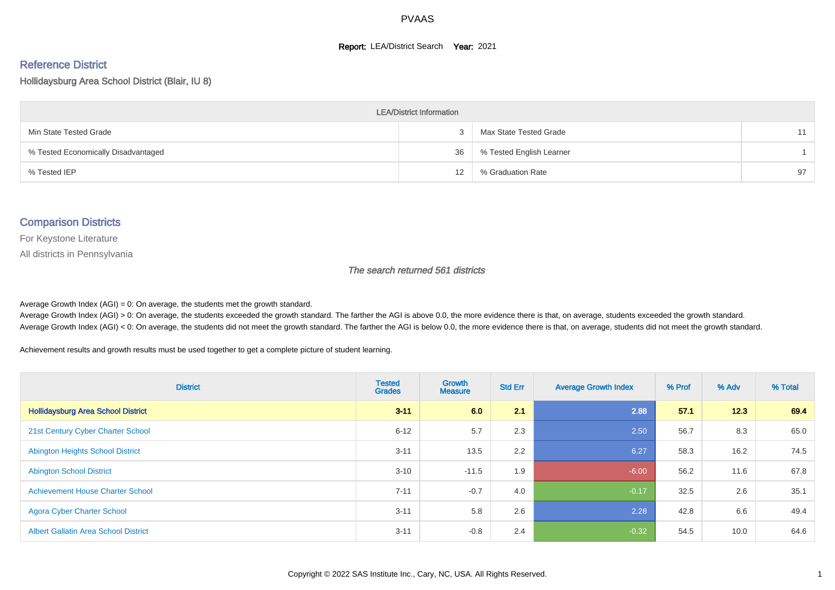#### **Report: LEA/District Search Year: 2021**

# Reference District

Hollidaysburg Area School District (Blair, IU 8)

| <b>LEA/District Information</b>     |    |                          |    |  |  |  |  |  |  |  |
|-------------------------------------|----|--------------------------|----|--|--|--|--|--|--|--|
| Min State Tested Grade              |    | Max State Tested Grade   | 11 |  |  |  |  |  |  |  |
| % Tested Economically Disadvantaged | 36 | % Tested English Learner |    |  |  |  |  |  |  |  |
| % Tested IEP                        | 12 | % Graduation Rate        | 97 |  |  |  |  |  |  |  |

#### Comparison Districts

For Keystone Literature

All districts in Pennsylvania

The search returned 561 districts

Average Growth Index  $(AGI) = 0$ : On average, the students met the growth standard.

Average Growth Index (AGI) > 0: On average, the students exceeded the growth standard. The farther the AGI is above 0.0, the more evidence there is that, on average, students exceeded the growth standard. Average Growth Index (AGI) < 0: On average, the students did not meet the growth standard. The farther the AGI is below 0.0, the more evidence there is that, on average, students did not meet the growth standard.

Achievement results and growth results must be used together to get a complete picture of student learning.

| <b>District</b>                             | <b>Tested</b><br><b>Grades</b> | Growth<br><b>Measure</b> | <b>Std Err</b> | <b>Average Growth Index</b> | % Prof | % Adv | % Total |
|---------------------------------------------|--------------------------------|--------------------------|----------------|-----------------------------|--------|-------|---------|
| <b>Hollidaysburg Area School District</b>   | $3 - 11$                       | 6.0                      | 2.1            | 2.88                        | 57.1   | 12.3  | 69.4    |
| 21st Century Cyber Charter School           | $6 - 12$                       | 5.7                      | 2.3            | 2.50                        | 56.7   | 8.3   | 65.0    |
| <b>Abington Heights School District</b>     | $3 - 11$                       | 13.5                     | 2.2            | 6.27                        | 58.3   | 16.2  | 74.5    |
| <b>Abington School District</b>             | $3 - 10$                       | $-11.5$                  | 1.9            | $-6.00$                     | 56.2   | 11.6  | 67.8    |
| <b>Achievement House Charter School</b>     | $7 - 11$                       | $-0.7$                   | 4.0            | $-0.17$                     | 32.5   | 2.6   | 35.1    |
| <b>Agora Cyber Charter School</b>           | $3 - 11$                       | 5.8                      | 2.6            | 2.28                        | 42.8   | 6.6   | 49.4    |
| <b>Albert Gallatin Area School District</b> | $3 - 11$                       | $-0.8$                   | 2.4            | $-0.32$                     | 54.5   | 10.0  | 64.6    |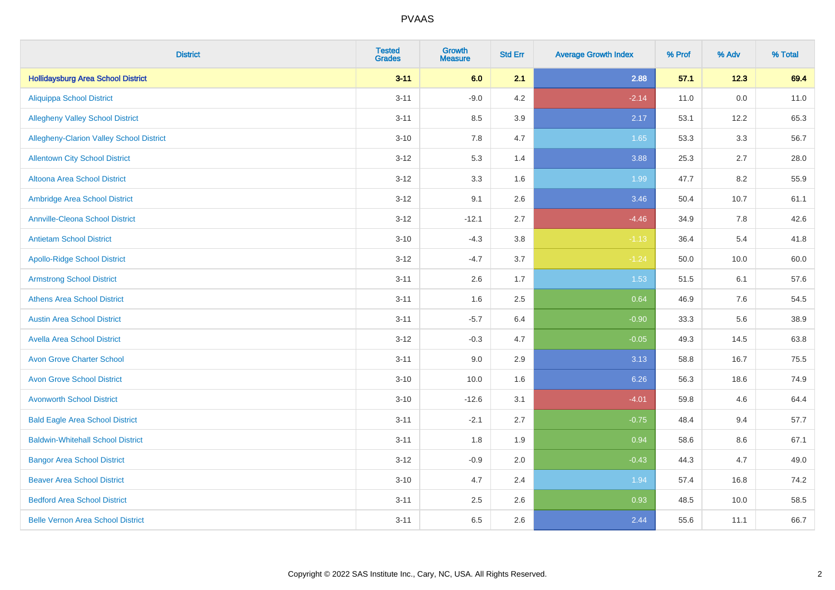| <b>District</b>                           | <b>Tested</b><br><b>Grades</b> | <b>Growth</b><br><b>Measure</b> | <b>Std Err</b> | <b>Average Growth Index</b> | % Prof | % Adv   | % Total |
|-------------------------------------------|--------------------------------|---------------------------------|----------------|-----------------------------|--------|---------|---------|
| <b>Hollidaysburg Area School District</b> | $3 - 11$                       | 6.0                             | 2.1            | 2.88                        | 57.1   | 12.3    | 69.4    |
| <b>Aliquippa School District</b>          | $3 - 11$                       | $-9.0$                          | 4.2            | $-2.14$                     | 11.0   | $0.0\,$ | 11.0    |
| <b>Allegheny Valley School District</b>   | $3 - 11$                       | 8.5                             | 3.9            | 2.17                        | 53.1   | 12.2    | 65.3    |
| Allegheny-Clarion Valley School District  | $3 - 10$                       | 7.8                             | 4.7            | 1.65                        | 53.3   | 3.3     | 56.7    |
| <b>Allentown City School District</b>     | $3 - 12$                       | 5.3                             | 1.4            | 3.88                        | 25.3   | 2.7     | 28.0    |
| Altoona Area School District              | $3 - 12$                       | 3.3                             | 1.6            | 1.99                        | 47.7   | 8.2     | 55.9    |
| Ambridge Area School District             | $3 - 12$                       | 9.1                             | 2.6            | 3.46                        | 50.4   | 10.7    | 61.1    |
| <b>Annville-Cleona School District</b>    | $3 - 12$                       | $-12.1$                         | 2.7            | $-4.46$                     | 34.9   | 7.8     | 42.6    |
| <b>Antietam School District</b>           | $3 - 10$                       | $-4.3$                          | 3.8            | $-1.13$                     | 36.4   | 5.4     | 41.8    |
| <b>Apollo-Ridge School District</b>       | $3-12$                         | $-4.7$                          | 3.7            | $-1.24$                     | 50.0   | 10.0    | 60.0    |
| <b>Armstrong School District</b>          | $3 - 11$                       | 2.6                             | 1.7            | 1.53                        | 51.5   | 6.1     | 57.6    |
| <b>Athens Area School District</b>        | $3 - 11$                       | 1.6                             | 2.5            | 0.64                        | 46.9   | 7.6     | 54.5    |
| <b>Austin Area School District</b>        | $3 - 11$                       | $-5.7$                          | 6.4            | $-0.90$                     | 33.3   | 5.6     | 38.9    |
| <b>Avella Area School District</b>        | $3 - 12$                       | $-0.3$                          | 4.7            | $-0.05$                     | 49.3   | 14.5    | 63.8    |
| <b>Avon Grove Charter School</b>          | $3 - 11$                       | 9.0                             | 2.9            | 3.13                        | 58.8   | 16.7    | 75.5    |
| <b>Avon Grove School District</b>         | $3 - 10$                       | 10.0                            | 1.6            | 6.26                        | 56.3   | 18.6    | 74.9    |
| <b>Avonworth School District</b>          | $3 - 10$                       | $-12.6$                         | 3.1            | $-4.01$                     | 59.8   | 4.6     | 64.4    |
| <b>Bald Eagle Area School District</b>    | $3 - 11$                       | $-2.1$                          | 2.7            | $-0.75$                     | 48.4   | 9.4     | 57.7    |
| <b>Baldwin-Whitehall School District</b>  | $3 - 11$                       | 1.8                             | 1.9            | 0.94                        | 58.6   | 8.6     | 67.1    |
| <b>Bangor Area School District</b>        | $3 - 12$                       | $-0.9$                          | 2.0            | $-0.43$                     | 44.3   | 4.7     | 49.0    |
| <b>Beaver Area School District</b>        | $3 - 10$                       | 4.7                             | 2.4            | 1.94                        | 57.4   | 16.8    | 74.2    |
| <b>Bedford Area School District</b>       | $3 - 11$                       | 2.5                             | 2.6            | 0.93                        | 48.5   | 10.0    | 58.5    |
| <b>Belle Vernon Area School District</b>  | $3 - 11$                       | 6.5                             | 2.6            | 2.44                        | 55.6   | 11.1    | 66.7    |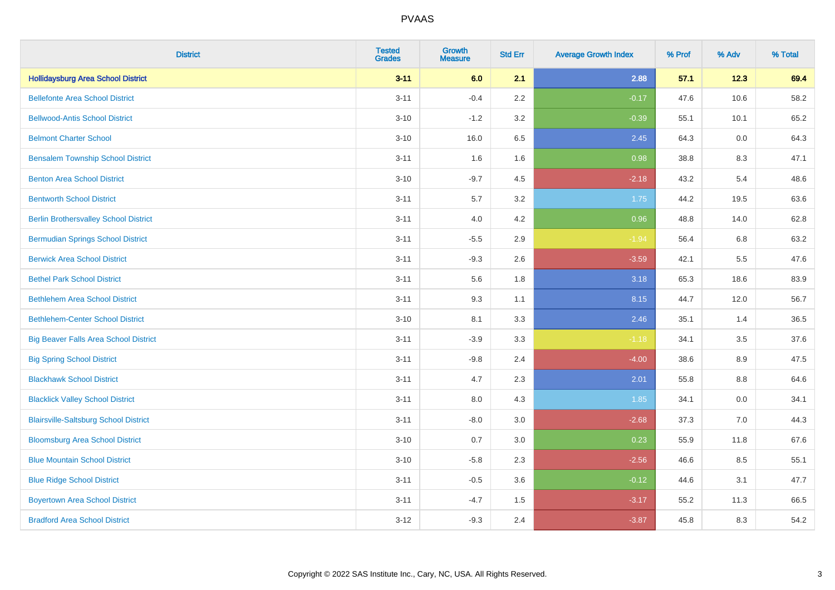| <b>District</b>                              | <b>Tested</b><br><b>Grades</b> | <b>Growth</b><br><b>Measure</b> | <b>Std Err</b> | <b>Average Growth Index</b> | % Prof | % Adv | % Total |
|----------------------------------------------|--------------------------------|---------------------------------|----------------|-----------------------------|--------|-------|---------|
| <b>Hollidaysburg Area School District</b>    | $3 - 11$                       | 6.0                             | 2.1            | 2.88                        | 57.1   | 12.3  | 69.4    |
| <b>Bellefonte Area School District</b>       | $3 - 11$                       | $-0.4$                          | 2.2            | $-0.17$                     | 47.6   | 10.6  | 58.2    |
| <b>Bellwood-Antis School District</b>        | $3 - 10$                       | $-1.2$                          | 3.2            | $-0.39$                     | 55.1   | 10.1  | 65.2    |
| <b>Belmont Charter School</b>                | $3 - 10$                       | 16.0                            | 6.5            | 2.45                        | 64.3   | 0.0   | 64.3    |
| <b>Bensalem Township School District</b>     | $3 - 11$                       | 1.6                             | 1.6            | 0.98                        | 38.8   | 8.3   | 47.1    |
| <b>Benton Area School District</b>           | $3 - 10$                       | $-9.7$                          | 4.5            | $-2.18$                     | 43.2   | 5.4   | 48.6    |
| <b>Bentworth School District</b>             | $3 - 11$                       | 5.7                             | 3.2            | 1.75                        | 44.2   | 19.5  | 63.6    |
| <b>Berlin Brothersvalley School District</b> | $3 - 11$                       | 4.0                             | 4.2            | 0.96                        | 48.8   | 14.0  | 62.8    |
| <b>Bermudian Springs School District</b>     | $3 - 11$                       | $-5.5$                          | 2.9            | $-1.94$                     | 56.4   | 6.8   | 63.2    |
| <b>Berwick Area School District</b>          | $3 - 11$                       | $-9.3$                          | 2.6            | $-3.59$                     | 42.1   | 5.5   | 47.6    |
| <b>Bethel Park School District</b>           | $3 - 11$                       | 5.6                             | 1.8            | 3.18                        | 65.3   | 18.6  | 83.9    |
| <b>Bethlehem Area School District</b>        | $3 - 11$                       | 9.3                             | 1.1            | 8.15                        | 44.7   | 12.0  | 56.7    |
| <b>Bethlehem-Center School District</b>      | $3 - 10$                       | 8.1                             | 3.3            | 2.46                        | 35.1   | 1.4   | 36.5    |
| <b>Big Beaver Falls Area School District</b> | $3 - 11$                       | $-3.9$                          | 3.3            | $-1.18$                     | 34.1   | 3.5   | 37.6    |
| <b>Big Spring School District</b>            | $3 - 11$                       | $-9.8$                          | 2.4            | $-4.00$                     | 38.6   | 8.9   | 47.5    |
| <b>Blackhawk School District</b>             | $3 - 11$                       | 4.7                             | 2.3            | 2.01                        | 55.8   | 8.8   | 64.6    |
| <b>Blacklick Valley School District</b>      | $3 - 11$                       | 8.0                             | 4.3            | 1.85                        | 34.1   | 0.0   | 34.1    |
| <b>Blairsville-Saltsburg School District</b> | $3 - 11$                       | $-8.0$                          | 3.0            | $-2.68$                     | 37.3   | 7.0   | 44.3    |
| <b>Bloomsburg Area School District</b>       | $3 - 10$                       | 0.7                             | 3.0            | 0.23                        | 55.9   | 11.8  | 67.6    |
| <b>Blue Mountain School District</b>         | $3 - 10$                       | $-5.8$                          | 2.3            | $-2.56$                     | 46.6   | 8.5   | 55.1    |
| <b>Blue Ridge School District</b>            | $3 - 11$                       | $-0.5$                          | 3.6            | $-0.12$                     | 44.6   | 3.1   | 47.7    |
| <b>Boyertown Area School District</b>        | $3 - 11$                       | $-4.7$                          | 1.5            | $-3.17$                     | 55.2   | 11.3  | 66.5    |
| <b>Bradford Area School District</b>         | $3 - 12$                       | $-9.3$                          | 2.4            | $-3.87$                     | 45.8   | 8.3   | 54.2    |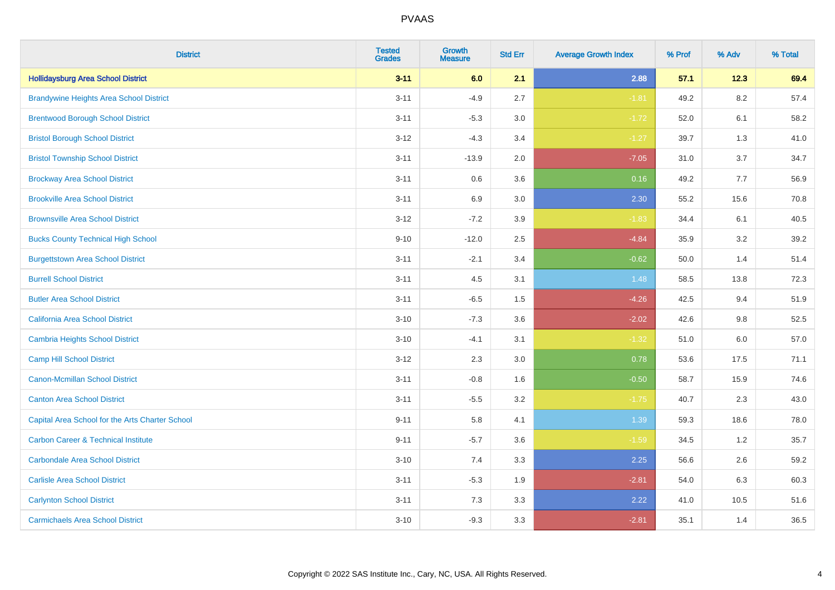| <b>District</b>                                 | <b>Tested</b><br><b>Grades</b> | <b>Growth</b><br><b>Measure</b> | <b>Std Err</b> | <b>Average Growth Index</b> | % Prof | % Adv   | % Total |
|-------------------------------------------------|--------------------------------|---------------------------------|----------------|-----------------------------|--------|---------|---------|
| <b>Hollidaysburg Area School District</b>       | $3 - 11$                       | 6.0                             | 2.1            | 2.88                        | 57.1   | 12.3    | 69.4    |
| <b>Brandywine Heights Area School District</b>  | $3 - 11$                       | $-4.9$                          | 2.7            | $-1.81$                     | 49.2   | 8.2     | 57.4    |
| <b>Brentwood Borough School District</b>        | $3 - 11$                       | $-5.3$                          | 3.0            | $-1.72$                     | 52.0   | 6.1     | 58.2    |
| <b>Bristol Borough School District</b>          | $3 - 12$                       | $-4.3$                          | 3.4            | $-1.27$                     | 39.7   | 1.3     | 41.0    |
| <b>Bristol Township School District</b>         | $3 - 11$                       | $-13.9$                         | 2.0            | $-7.05$                     | 31.0   | 3.7     | 34.7    |
| <b>Brockway Area School District</b>            | $3 - 11$                       | 0.6                             | 3.6            | 0.16                        | 49.2   | 7.7     | 56.9    |
| <b>Brookville Area School District</b>          | $3 - 11$                       | 6.9                             | 3.0            | 2.30                        | 55.2   | 15.6    | 70.8    |
| <b>Brownsville Area School District</b>         | $3 - 12$                       | $-7.2$                          | 3.9            | $-1.83$                     | 34.4   | 6.1     | 40.5    |
| <b>Bucks County Technical High School</b>       | $9 - 10$                       | $-12.0$                         | 2.5            | $-4.84$                     | 35.9   | 3.2     | 39.2    |
| <b>Burgettstown Area School District</b>        | $3 - 11$                       | $-2.1$                          | 3.4            | $-0.62$                     | 50.0   | 1.4     | 51.4    |
| <b>Burrell School District</b>                  | $3 - 11$                       | 4.5                             | 3.1            | 1.48                        | 58.5   | 13.8    | 72.3    |
| <b>Butler Area School District</b>              | $3 - 11$                       | $-6.5$                          | 1.5            | $-4.26$                     | 42.5   | 9.4     | 51.9    |
| <b>California Area School District</b>          | $3 - 10$                       | $-7.3$                          | 3.6            | $-2.02$                     | 42.6   | $9.8\,$ | 52.5    |
| <b>Cambria Heights School District</b>          | $3 - 10$                       | $-4.1$                          | 3.1            | $-1.32$                     | 51.0   | 6.0     | 57.0    |
| <b>Camp Hill School District</b>                | $3 - 12$                       | 2.3                             | 3.0            | 0.78                        | 53.6   | 17.5    | 71.1    |
| <b>Canon-Mcmillan School District</b>           | $3 - 11$                       | $-0.8$                          | 1.6            | $-0.50$                     | 58.7   | 15.9    | 74.6    |
| <b>Canton Area School District</b>              | $3 - 11$                       | $-5.5$                          | 3.2            | $-1.75$                     | 40.7   | 2.3     | 43.0    |
| Capital Area School for the Arts Charter School | $9 - 11$                       | 5.8                             | 4.1            | 1.39                        | 59.3   | 18.6    | 78.0    |
| <b>Carbon Career &amp; Technical Institute</b>  | $9 - 11$                       | $-5.7$                          | 3.6            | $-1.59$                     | 34.5   | 1.2     | 35.7    |
| <b>Carbondale Area School District</b>          | $3 - 10$                       | 7.4                             | 3.3            | 2.25                        | 56.6   | 2.6     | 59.2    |
| <b>Carlisle Area School District</b>            | $3 - 11$                       | $-5.3$                          | 1.9            | $-2.81$                     | 54.0   | 6.3     | 60.3    |
| <b>Carlynton School District</b>                | $3 - 11$                       | 7.3                             | 3.3            | 2.22                        | 41.0   | 10.5    | 51.6    |
| <b>Carmichaels Area School District</b>         | $3 - 10$                       | $-9.3$                          | 3.3            | $-2.81$                     | 35.1   | 1.4     | 36.5    |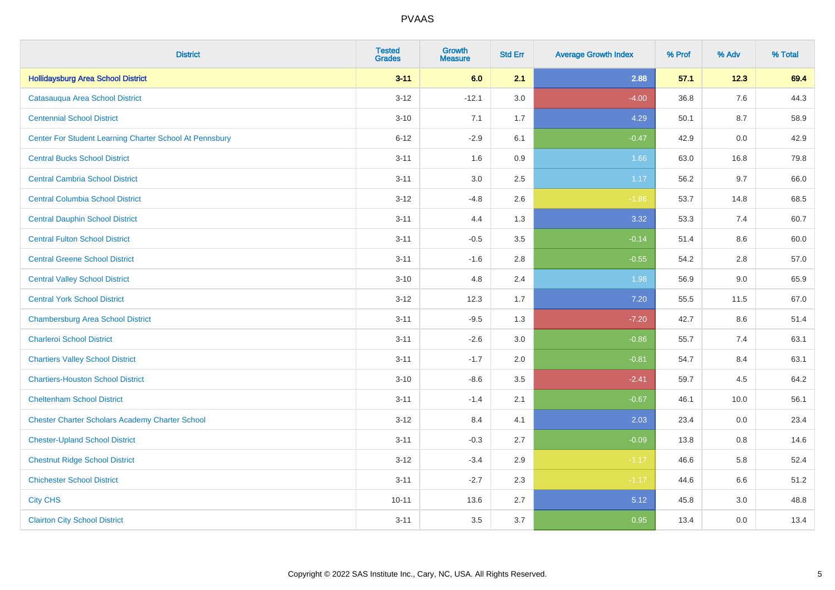| <b>District</b>                                         | <b>Tested</b><br><b>Grades</b> | <b>Growth</b><br><b>Measure</b> | <b>Std Err</b> | <b>Average Growth Index</b> | % Prof | % Adv | % Total |
|---------------------------------------------------------|--------------------------------|---------------------------------|----------------|-----------------------------|--------|-------|---------|
| <b>Hollidaysburg Area School District</b>               | $3 - 11$                       | 6.0                             | 2.1            | 2.88                        | 57.1   | 12.3  | 69.4    |
| Catasauqua Area School District                         | $3 - 12$                       | $-12.1$                         | 3.0            | $-4.00$                     | 36.8   | 7.6   | 44.3    |
| <b>Centennial School District</b>                       | $3 - 10$                       | 7.1                             | 1.7            | 4.29                        | 50.1   | 8.7   | 58.9    |
| Center For Student Learning Charter School At Pennsbury | $6 - 12$                       | $-2.9$                          | 6.1            | $-0.47$                     | 42.9   | 0.0   | 42.9    |
| <b>Central Bucks School District</b>                    | $3 - 11$                       | 1.6                             | 0.9            | 1.66                        | 63.0   | 16.8  | 79.8    |
| <b>Central Cambria School District</b>                  | $3 - 11$                       | 3.0                             | 2.5            | 1.17                        | 56.2   | 9.7   | 66.0    |
| <b>Central Columbia School District</b>                 | $3 - 12$                       | $-4.8$                          | 2.6            | $-1.86$                     | 53.7   | 14.8  | 68.5    |
| <b>Central Dauphin School District</b>                  | $3 - 11$                       | 4.4                             | 1.3            | 3.32                        | 53.3   | 7.4   | 60.7    |
| <b>Central Fulton School District</b>                   | $3 - 11$                       | $-0.5$                          | 3.5            | $-0.14$                     | 51.4   | 8.6   | 60.0    |
| <b>Central Greene School District</b>                   | $3 - 11$                       | $-1.6$                          | 2.8            | $-0.55$                     | 54.2   | 2.8   | 57.0    |
| <b>Central Valley School District</b>                   | $3 - 10$                       | 4.8                             | 2.4            | 1.98                        | 56.9   | 9.0   | 65.9    |
| <b>Central York School District</b>                     | $3 - 12$                       | 12.3                            | 1.7            | 7.20                        | 55.5   | 11.5  | 67.0    |
| <b>Chambersburg Area School District</b>                | $3 - 11$                       | $-9.5$                          | 1.3            | $-7.20$                     | 42.7   | 8.6   | 51.4    |
| <b>Charleroi School District</b>                        | $3 - 11$                       | $-2.6$                          | 3.0            | $-0.86$                     | 55.7   | 7.4   | 63.1    |
| <b>Chartiers Valley School District</b>                 | $3 - 11$                       | $-1.7$                          | 2.0            | $-0.81$                     | 54.7   | 8.4   | 63.1    |
| <b>Chartiers-Houston School District</b>                | $3 - 10$                       | $-8.6$                          | 3.5            | $-2.41$                     | 59.7   | 4.5   | 64.2    |
| <b>Cheltenham School District</b>                       | $3 - 11$                       | $-1.4$                          | 2.1            | $-0.67$                     | 46.1   | 10.0  | 56.1    |
| <b>Chester Charter Scholars Academy Charter School</b>  | $3 - 12$                       | 8.4                             | 4.1            | 2.03                        | 23.4   | 0.0   | 23.4    |
| <b>Chester-Upland School District</b>                   | $3 - 11$                       | $-0.3$                          | 2.7            | $-0.09$                     | 13.8   | 0.8   | 14.6    |
| <b>Chestnut Ridge School District</b>                   | $3 - 12$                       | $-3.4$                          | 2.9            | $-1.17$                     | 46.6   | 5.8   | 52.4    |
| <b>Chichester School District</b>                       | $3 - 11$                       | $-2.7$                          | 2.3            | $-1.17$                     | 44.6   | 6.6   | 51.2    |
| <b>City CHS</b>                                         | $10 - 11$                      | 13.6                            | 2.7            | 5.12                        | 45.8   | 3.0   | 48.8    |
| <b>Clairton City School District</b>                    | $3 - 11$                       | 3.5                             | 3.7            | 0.95                        | 13.4   | 0.0   | 13.4    |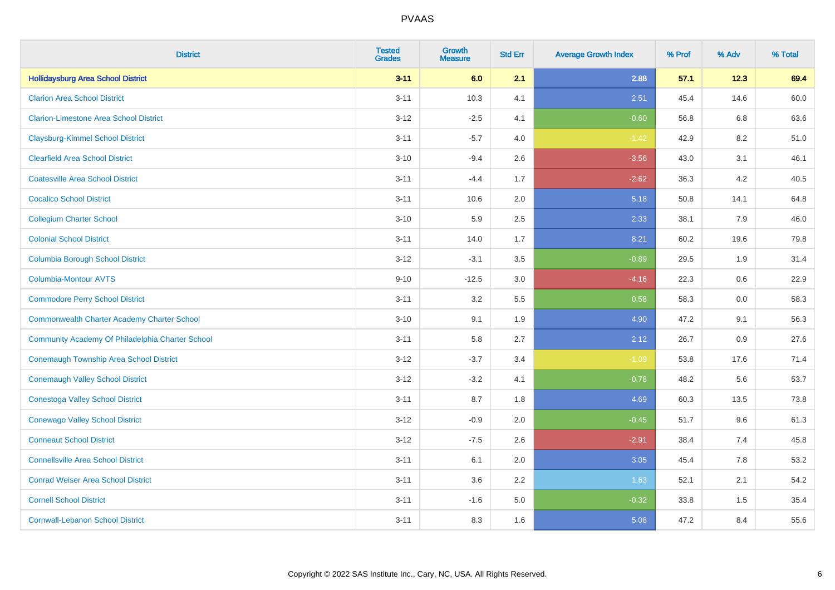| <b>District</b>                                    | <b>Tested</b><br><b>Grades</b> | <b>Growth</b><br><b>Measure</b> | <b>Std Err</b> | <b>Average Growth Index</b> | % Prof | % Adv | % Total |
|----------------------------------------------------|--------------------------------|---------------------------------|----------------|-----------------------------|--------|-------|---------|
| <b>Hollidaysburg Area School District</b>          | $3 - 11$                       | 6.0                             | 2.1            | 2.88                        | 57.1   | 12.3  | 69.4    |
| <b>Clarion Area School District</b>                | $3 - 11$                       | 10.3                            | 4.1            | 2.51                        | 45.4   | 14.6  | 60.0    |
| <b>Clarion-Limestone Area School District</b>      | $3 - 12$                       | $-2.5$                          | 4.1            | $-0.60$                     | 56.8   | 6.8   | 63.6    |
| <b>Claysburg-Kimmel School District</b>            | $3 - 11$                       | $-5.7$                          | 4.0            | $-1.42$                     | 42.9   | 8.2   | 51.0    |
| <b>Clearfield Area School District</b>             | $3 - 10$                       | $-9.4$                          | 2.6            | $-3.56$                     | 43.0   | 3.1   | 46.1    |
| <b>Coatesville Area School District</b>            | $3 - 11$                       | $-4.4$                          | 1.7            | $-2.62$                     | 36.3   | 4.2   | 40.5    |
| <b>Cocalico School District</b>                    | $3 - 11$                       | 10.6                            | 2.0            | 5.18                        | 50.8   | 14.1  | 64.8    |
| <b>Collegium Charter School</b>                    | $3 - 10$                       | 5.9                             | 2.5            | 2.33                        | 38.1   | 7.9   | 46.0    |
| <b>Colonial School District</b>                    | $3 - 11$                       | 14.0                            | 1.7            | 8.21                        | 60.2   | 19.6  | 79.8    |
| <b>Columbia Borough School District</b>            | $3 - 12$                       | $-3.1$                          | 3.5            | $-0.89$                     | 29.5   | 1.9   | 31.4    |
| <b>Columbia-Montour AVTS</b>                       | $9 - 10$                       | $-12.5$                         | 3.0            | $-4.16$                     | 22.3   | 0.6   | 22.9    |
| <b>Commodore Perry School District</b>             | $3 - 11$                       | 3.2                             | 5.5            | 0.58                        | 58.3   | 0.0   | 58.3    |
| <b>Commonwealth Charter Academy Charter School</b> | $3 - 10$                       | 9.1                             | 1.9            | 4.90                        | 47.2   | 9.1   | 56.3    |
| Community Academy Of Philadelphia Charter School   | $3 - 11$                       | 5.8                             | 2.7            | 2.12                        | 26.7   | 0.9   | 27.6    |
| Conemaugh Township Area School District            | $3-12$                         | $-3.7$                          | 3.4            | $-1.09$                     | 53.8   | 17.6  | 71.4    |
| <b>Conemaugh Valley School District</b>            | $3 - 12$                       | $-3.2$                          | 4.1            | $-0.78$                     | 48.2   | 5.6   | 53.7    |
| <b>Conestoga Valley School District</b>            | $3 - 11$                       | 8.7                             | 1.8            | 4.69                        | 60.3   | 13.5  | 73.8    |
| <b>Conewago Valley School District</b>             | $3 - 12$                       | $-0.9$                          | 2.0            | $-0.45$                     | 51.7   | 9.6   | 61.3    |
| <b>Conneaut School District</b>                    | $3 - 12$                       | $-7.5$                          | 2.6            | $-2.91$                     | 38.4   | 7.4   | 45.8    |
| <b>Connellsville Area School District</b>          | $3 - 11$                       | 6.1                             | 2.0            | 3.05                        | 45.4   | 7.8   | 53.2    |
| <b>Conrad Weiser Area School District</b>          | $3 - 11$                       | 3.6                             | 2.2            | 1.63                        | 52.1   | 2.1   | 54.2    |
| <b>Cornell School District</b>                     | $3 - 11$                       | $-1.6$                          | 5.0            | $-0.32$                     | 33.8   | 1.5   | 35.4    |
| <b>Cornwall-Lebanon School District</b>            | $3 - 11$                       | 8.3                             | 1.6            | 5.08                        | 47.2   | 8.4   | 55.6    |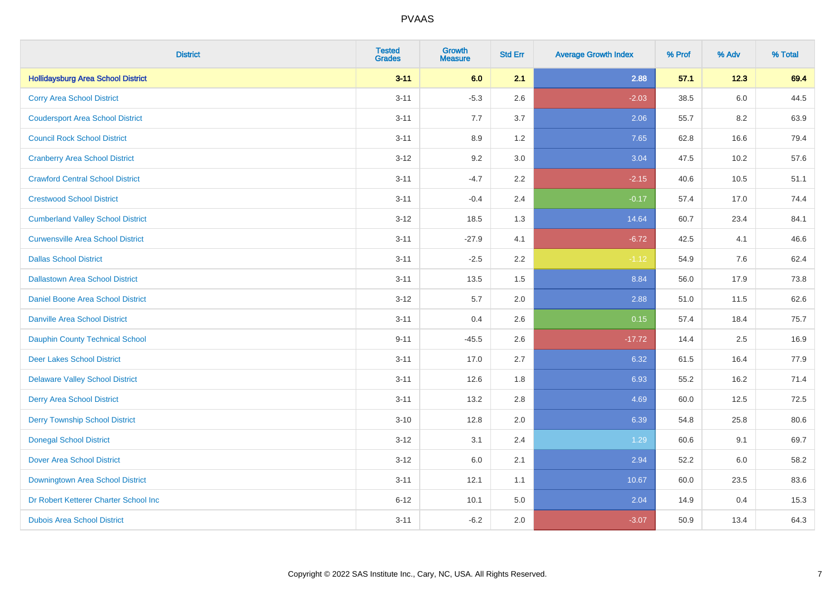| <b>District</b>                           | <b>Tested</b><br><b>Grades</b> | <b>Growth</b><br><b>Measure</b> | <b>Std Err</b> | <b>Average Growth Index</b> | % Prof | % Adv   | % Total |
|-------------------------------------------|--------------------------------|---------------------------------|----------------|-----------------------------|--------|---------|---------|
| <b>Hollidaysburg Area School District</b> | $3 - 11$                       | 6.0                             | 2.1            | 2.88                        | 57.1   | 12.3    | 69.4    |
| <b>Corry Area School District</b>         | $3 - 11$                       | $-5.3$                          | 2.6            | $-2.03$                     | 38.5   | $6.0\,$ | 44.5    |
| <b>Coudersport Area School District</b>   | $3 - 11$                       | 7.7                             | 3.7            | 2.06                        | 55.7   | 8.2     | 63.9    |
| <b>Council Rock School District</b>       | $3 - 11$                       | 8.9                             | 1.2            | 7.65                        | 62.8   | 16.6    | 79.4    |
| <b>Cranberry Area School District</b>     | $3 - 12$                       | 9.2                             | 3.0            | 3.04                        | 47.5   | 10.2    | 57.6    |
| <b>Crawford Central School District</b>   | $3 - 11$                       | $-4.7$                          | 2.2            | $-2.15$                     | 40.6   | 10.5    | 51.1    |
| <b>Crestwood School District</b>          | $3 - 11$                       | $-0.4$                          | 2.4            | $-0.17$                     | 57.4   | 17.0    | 74.4    |
| <b>Cumberland Valley School District</b>  | $3 - 12$                       | 18.5                            | 1.3            | 14.64                       | 60.7   | 23.4    | 84.1    |
| <b>Curwensville Area School District</b>  | $3 - 11$                       | $-27.9$                         | 4.1            | $-6.72$                     | 42.5   | 4.1     | 46.6    |
| <b>Dallas School District</b>             | $3 - 11$                       | $-2.5$                          | 2.2            | $-1.12$                     | 54.9   | 7.6     | 62.4    |
| <b>Dallastown Area School District</b>    | $3 - 11$                       | 13.5                            | 1.5            | 8.84                        | 56.0   | 17.9    | 73.8    |
| <b>Daniel Boone Area School District</b>  | $3 - 12$                       | 5.7                             | 2.0            | 2.88                        | 51.0   | 11.5    | 62.6    |
| Danville Area School District             | $3 - 11$                       | 0.4                             | 2.6            | 0.15                        | 57.4   | 18.4    | 75.7    |
| <b>Dauphin County Technical School</b>    | $9 - 11$                       | $-45.5$                         | 2.6            | $-17.72$                    | 14.4   | 2.5     | 16.9    |
| <b>Deer Lakes School District</b>         | $3 - 11$                       | 17.0                            | 2.7            | 6.32                        | 61.5   | 16.4    | 77.9    |
| <b>Delaware Valley School District</b>    | $3 - 11$                       | 12.6                            | 1.8            | 6.93                        | 55.2   | 16.2    | 71.4    |
| <b>Derry Area School District</b>         | $3 - 11$                       | 13.2                            | 2.8            | 4.69                        | 60.0   | 12.5    | 72.5    |
| <b>Derry Township School District</b>     | $3 - 10$                       | 12.8                            | 2.0            | 6.39                        | 54.8   | 25.8    | 80.6    |
| <b>Donegal School District</b>            | $3 - 12$                       | 3.1                             | 2.4            | 1.29                        | 60.6   | 9.1     | 69.7    |
| Dover Area School District                | $3 - 12$                       | 6.0                             | 2.1            | 2.94                        | 52.2   | 6.0     | 58.2    |
| Downingtown Area School District          | $3 - 11$                       | 12.1                            | 1.1            | 10.67                       | 60.0   | 23.5    | 83.6    |
| Dr Robert Ketterer Charter School Inc     | $6 - 12$                       | 10.1                            | 5.0            | 2.04                        | 14.9   | 0.4     | 15.3    |
| <b>Dubois Area School District</b>        | $3 - 11$                       | $-6.2$                          | 2.0            | $-3.07$                     | 50.9   | 13.4    | 64.3    |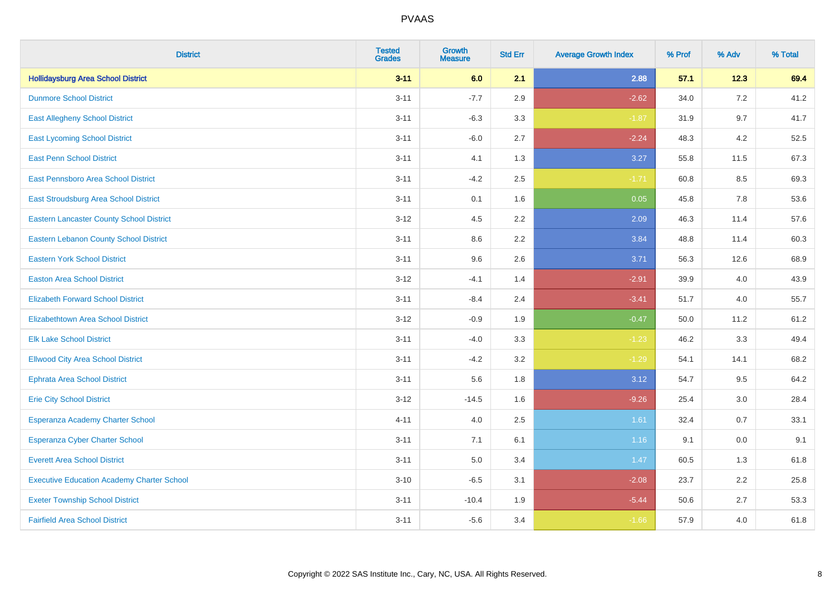| <b>District</b>                                   | <b>Tested</b><br><b>Grades</b> | <b>Growth</b><br><b>Measure</b> | <b>Std Err</b> | <b>Average Growth Index</b> | % Prof | % Adv | % Total |
|---------------------------------------------------|--------------------------------|---------------------------------|----------------|-----------------------------|--------|-------|---------|
| <b>Hollidaysburg Area School District</b>         | $3 - 11$                       | 6.0                             | 2.1            | 2.88                        | 57.1   | 12.3  | 69.4    |
| <b>Dunmore School District</b>                    | $3 - 11$                       | $-7.7$                          | 2.9            | $-2.62$                     | 34.0   | 7.2   | 41.2    |
| <b>East Allegheny School District</b>             | $3 - 11$                       | $-6.3$                          | 3.3            | $-1.87$                     | 31.9   | 9.7   | 41.7    |
| <b>East Lycoming School District</b>              | $3 - 11$                       | $-6.0$                          | 2.7            | $-2.24$                     | 48.3   | 4.2   | 52.5    |
| <b>East Penn School District</b>                  | $3 - 11$                       | 4.1                             | 1.3            | 3.27                        | 55.8   | 11.5  | 67.3    |
| East Pennsboro Area School District               | $3 - 11$                       | $-4.2$                          | 2.5            | $-1.71$                     | 60.8   | 8.5   | 69.3    |
| East Stroudsburg Area School District             | $3 - 11$                       | 0.1                             | 1.6            | 0.05                        | 45.8   | 7.8   | 53.6    |
| <b>Eastern Lancaster County School District</b>   | $3 - 12$                       | 4.5                             | 2.2            | 2.09                        | 46.3   | 11.4  | 57.6    |
| <b>Eastern Lebanon County School District</b>     | $3 - 11$                       | 8.6                             | 2.2            | 3.84                        | 48.8   | 11.4  | 60.3    |
| <b>Eastern York School District</b>               | $3 - 11$                       | 9.6                             | 2.6            | 3.71                        | 56.3   | 12.6  | 68.9    |
| <b>Easton Area School District</b>                | $3 - 12$                       | $-4.1$                          | 1.4            | $-2.91$                     | 39.9   | 4.0   | 43.9    |
| <b>Elizabeth Forward School District</b>          | $3 - 11$                       | $-8.4$                          | 2.4            | $-3.41$                     | 51.7   | 4.0   | 55.7    |
| Elizabethtown Area School District                | $3 - 12$                       | $-0.9$                          | 1.9            | $-0.47$                     | 50.0   | 11.2  | 61.2    |
| <b>Elk Lake School District</b>                   | $3 - 11$                       | $-4.0$                          | 3.3            | $-1.23$                     | 46.2   | 3.3   | 49.4    |
| <b>Ellwood City Area School District</b>          | $3 - 11$                       | $-4.2$                          | 3.2            | $-1.29$                     | 54.1   | 14.1  | 68.2    |
| <b>Ephrata Area School District</b>               | $3 - 11$                       | 5.6                             | 1.8            | 3.12                        | 54.7   | 9.5   | 64.2    |
| <b>Erie City School District</b>                  | $3 - 12$                       | $-14.5$                         | 1.6            | $-9.26$                     | 25.4   | 3.0   | 28.4    |
| Esperanza Academy Charter School                  | $4 - 11$                       | 4.0                             | 2.5            | 1.61                        | 32.4   | 0.7   | 33.1    |
| <b>Esperanza Cyber Charter School</b>             | $3 - 11$                       | 7.1                             | 6.1            | 1.16                        | 9.1    | 0.0   | 9.1     |
| <b>Everett Area School District</b>               | $3 - 11$                       | 5.0                             | 3.4            | 1.47                        | 60.5   | 1.3   | 61.8    |
| <b>Executive Education Academy Charter School</b> | $3 - 10$                       | $-6.5$                          | 3.1            | $-2.08$                     | 23.7   | 2.2   | 25.8    |
| <b>Exeter Township School District</b>            | $3 - 11$                       | $-10.4$                         | 1.9            | $-5.44$                     | 50.6   | 2.7   | 53.3    |
| <b>Fairfield Area School District</b>             | $3 - 11$                       | $-5.6$                          | 3.4            | $-1.66$                     | 57.9   | 4.0   | 61.8    |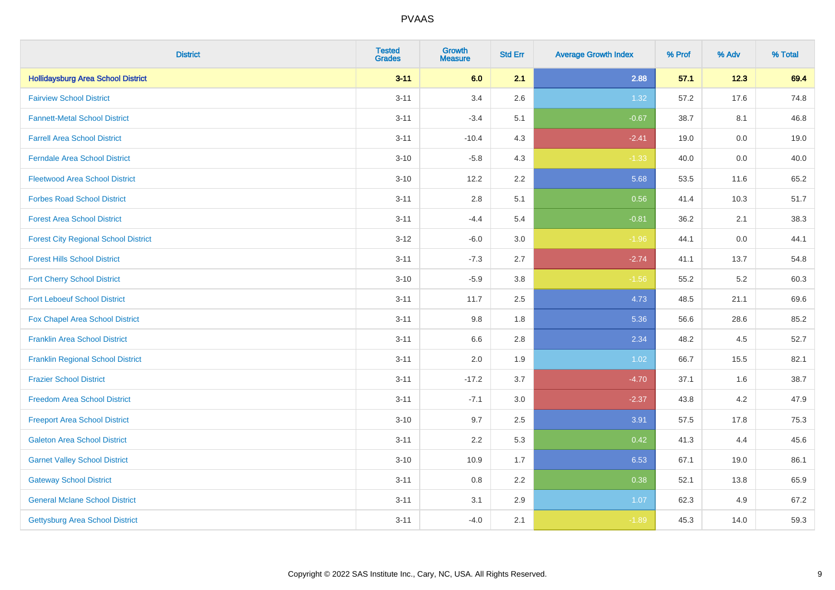| <b>District</b>                             | <b>Tested</b><br><b>Grades</b> | <b>Growth</b><br><b>Measure</b> | <b>Std Err</b> | <b>Average Growth Index</b> | % Prof | % Adv   | % Total |
|---------------------------------------------|--------------------------------|---------------------------------|----------------|-----------------------------|--------|---------|---------|
| <b>Hollidaysburg Area School District</b>   | $3 - 11$                       | 6.0                             | 2.1            | 2.88                        | 57.1   | 12.3    | 69.4    |
| <b>Fairview School District</b>             | $3 - 11$                       | 3.4                             | 2.6            | 1.32                        | 57.2   | 17.6    | 74.8    |
| <b>Fannett-Metal School District</b>        | $3 - 11$                       | $-3.4$                          | 5.1            | $-0.67$                     | 38.7   | 8.1     | 46.8    |
| <b>Farrell Area School District</b>         | $3 - 11$                       | $-10.4$                         | 4.3            | $-2.41$                     | 19.0   | $0.0\,$ | 19.0    |
| <b>Ferndale Area School District</b>        | $3 - 10$                       | $-5.8$                          | 4.3            | $-1.33$                     | 40.0   | 0.0     | 40.0    |
| <b>Fleetwood Area School District</b>       | $3 - 10$                       | 12.2                            | 2.2            | 5.68                        | 53.5   | 11.6    | 65.2    |
| <b>Forbes Road School District</b>          | $3 - 11$                       | 2.8                             | 5.1            | 0.56                        | 41.4   | 10.3    | 51.7    |
| <b>Forest Area School District</b>          | $3 - 11$                       | $-4.4$                          | 5.4            | $-0.81$                     | 36.2   | 2.1     | 38.3    |
| <b>Forest City Regional School District</b> | $3 - 12$                       | $-6.0$                          | 3.0            | $-1.96$                     | 44.1   | 0.0     | 44.1    |
| <b>Forest Hills School District</b>         | $3 - 11$                       | $-7.3$                          | 2.7            | $-2.74$                     | 41.1   | 13.7    | 54.8    |
| <b>Fort Cherry School District</b>          | $3 - 10$                       | $-5.9$                          | 3.8            | $-1.56$                     | 55.2   | 5.2     | 60.3    |
| <b>Fort Leboeuf School District</b>         | $3 - 11$                       | 11.7                            | 2.5            | 4.73                        | 48.5   | 21.1    | 69.6    |
| <b>Fox Chapel Area School District</b>      | $3 - 11$                       | 9.8                             | 1.8            | 5.36                        | 56.6   | 28.6    | 85.2    |
| <b>Franklin Area School District</b>        | $3 - 11$                       | 6.6                             | 2.8            | 2.34                        | 48.2   | 4.5     | 52.7    |
| <b>Franklin Regional School District</b>    | $3 - 11$                       | 2.0                             | 1.9            | 1.02                        | 66.7   | 15.5    | 82.1    |
| <b>Frazier School District</b>              | $3 - 11$                       | $-17.2$                         | 3.7            | $-4.70$                     | 37.1   | 1.6     | 38.7    |
| <b>Freedom Area School District</b>         | $3 - 11$                       | $-7.1$                          | 3.0            | $-2.37$                     | 43.8   | 4.2     | 47.9    |
| <b>Freeport Area School District</b>        | $3 - 10$                       | 9.7                             | 2.5            | 3.91                        | 57.5   | 17.8    | 75.3    |
| <b>Galeton Area School District</b>         | $3 - 11$                       | 2.2                             | 5.3            | 0.42                        | 41.3   | 4.4     | 45.6    |
| <b>Garnet Valley School District</b>        | $3 - 10$                       | 10.9                            | 1.7            | 6.53                        | 67.1   | 19.0    | 86.1    |
| <b>Gateway School District</b>              | $3 - 11$                       | 0.8                             | 2.2            | 0.38                        | 52.1   | 13.8    | 65.9    |
| <b>General Mclane School District</b>       | $3 - 11$                       | 3.1                             | 2.9            | 1.07                        | 62.3   | 4.9     | 67.2    |
| <b>Gettysburg Area School District</b>      | $3 - 11$                       | $-4.0$                          | 2.1            | $-1.89$                     | 45.3   | 14.0    | 59.3    |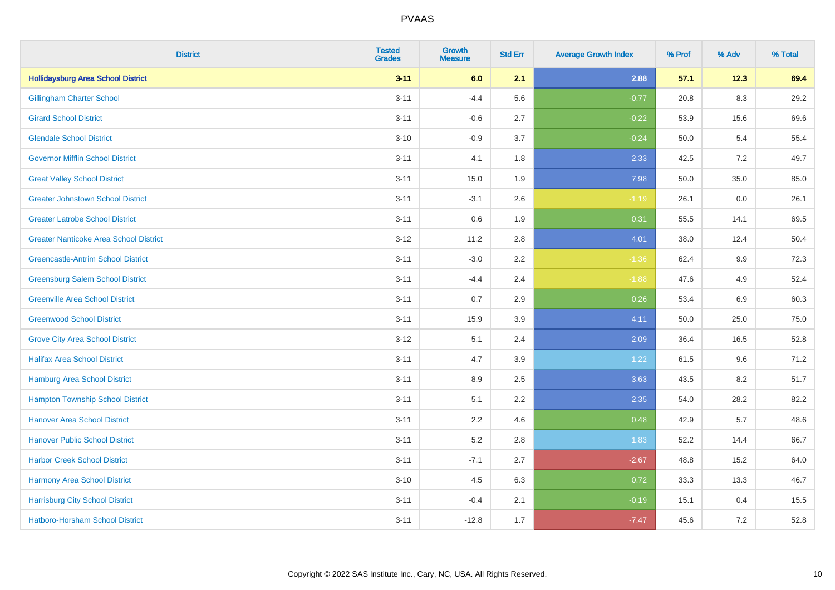| <b>District</b>                               | <b>Tested</b><br><b>Grades</b> | <b>Growth</b><br><b>Measure</b> | <b>Std Err</b> | <b>Average Growth Index</b> | % Prof | % Adv   | % Total |
|-----------------------------------------------|--------------------------------|---------------------------------|----------------|-----------------------------|--------|---------|---------|
| <b>Hollidaysburg Area School District</b>     | $3 - 11$                       | 6.0                             | 2.1            | 2.88                        | 57.1   | 12.3    | 69.4    |
| <b>Gillingham Charter School</b>              | $3 - 11$                       | $-4.4$                          | 5.6            | $-0.77$                     | 20.8   | $8.3\,$ | 29.2    |
| <b>Girard School District</b>                 | $3 - 11$                       | $-0.6$                          | 2.7            | $-0.22$                     | 53.9   | 15.6    | 69.6    |
| <b>Glendale School District</b>               | $3 - 10$                       | $-0.9$                          | 3.7            | $-0.24$                     | 50.0   | 5.4     | 55.4    |
| <b>Governor Mifflin School District</b>       | $3 - 11$                       | 4.1                             | 1.8            | 2.33                        | 42.5   | 7.2     | 49.7    |
| <b>Great Valley School District</b>           | $3 - 11$                       | 15.0                            | 1.9            | 7.98                        | 50.0   | 35.0    | 85.0    |
| <b>Greater Johnstown School District</b>      | $3 - 11$                       | $-3.1$                          | 2.6            | $-1.19$                     | 26.1   | 0.0     | 26.1    |
| <b>Greater Latrobe School District</b>        | $3 - 11$                       | 0.6                             | 1.9            | 0.31                        | 55.5   | 14.1    | 69.5    |
| <b>Greater Nanticoke Area School District</b> | $3-12$                         | 11.2                            | 2.8            | 4.01                        | 38.0   | 12.4    | 50.4    |
| <b>Greencastle-Antrim School District</b>     | $3 - 11$                       | $-3.0$                          | 2.2            | $-1.36$                     | 62.4   | 9.9     | 72.3    |
| <b>Greensburg Salem School District</b>       | $3 - 11$                       | $-4.4$                          | 2.4            | $-1.88$                     | 47.6   | 4.9     | 52.4    |
| <b>Greenville Area School District</b>        | $3 - 11$                       | 0.7                             | 2.9            | 0.26                        | 53.4   | 6.9     | 60.3    |
| <b>Greenwood School District</b>              | $3 - 11$                       | 15.9                            | 3.9            | 4.11                        | 50.0   | 25.0    | 75.0    |
| <b>Grove City Area School District</b>        | $3 - 12$                       | 5.1                             | 2.4            | 2.09                        | 36.4   | 16.5    | 52.8    |
| <b>Halifax Area School District</b>           | $3 - 11$                       | 4.7                             | 3.9            | 1.22                        | 61.5   | 9.6     | 71.2    |
| <b>Hamburg Area School District</b>           | $3 - 11$                       | 8.9                             | 2.5            | 3.63                        | 43.5   | 8.2     | 51.7    |
| <b>Hampton Township School District</b>       | $3 - 11$                       | 5.1                             | 2.2            | 2.35                        | 54.0   | 28.2    | 82.2    |
| <b>Hanover Area School District</b>           | $3 - 11$                       | 2.2                             | 4.6            | 0.48                        | 42.9   | 5.7     | 48.6    |
| <b>Hanover Public School District</b>         | $3 - 11$                       | 5.2                             | 2.8            | 1.83                        | 52.2   | 14.4    | 66.7    |
| <b>Harbor Creek School District</b>           | $3 - 11$                       | $-7.1$                          | 2.7            | $-2.67$                     | 48.8   | 15.2    | 64.0    |
| Harmony Area School District                  | $3 - 10$                       | 4.5                             | 6.3            | 0.72                        | 33.3   | 13.3    | 46.7    |
| <b>Harrisburg City School District</b>        | $3 - 11$                       | $-0.4$                          | 2.1            | $-0.19$                     | 15.1   | 0.4     | 15.5    |
| <b>Hatboro-Horsham School District</b>        | $3 - 11$                       | $-12.8$                         | 1.7            | $-7.47$                     | 45.6   | 7.2     | 52.8    |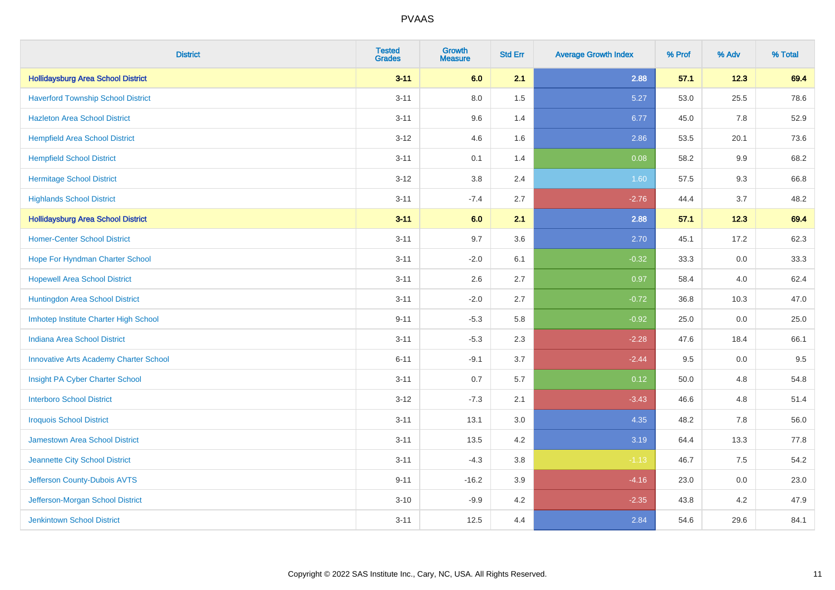| <b>District</b>                               | <b>Tested</b><br><b>Grades</b> | <b>Growth</b><br><b>Measure</b> | <b>Std Err</b> | <b>Average Growth Index</b> | % Prof | % Adv | % Total |
|-----------------------------------------------|--------------------------------|---------------------------------|----------------|-----------------------------|--------|-------|---------|
| <b>Hollidaysburg Area School District</b>     | $3 - 11$                       | 6.0                             | 2.1            | 2.88                        | 57.1   | 12.3  | 69.4    |
| <b>Haverford Township School District</b>     | $3 - 11$                       | $8.0\,$                         | 1.5            | 5.27                        | 53.0   | 25.5  | 78.6    |
| <b>Hazleton Area School District</b>          | $3 - 11$                       | 9.6                             | 1.4            | 6.77                        | 45.0   | 7.8   | 52.9    |
| <b>Hempfield Area School District</b>         | $3 - 12$                       | 4.6                             | 1.6            | 2.86                        | 53.5   | 20.1  | 73.6    |
| <b>Hempfield School District</b>              | $3 - 11$                       | 0.1                             | 1.4            | 0.08                        | 58.2   | 9.9   | 68.2    |
| <b>Hermitage School District</b>              | $3 - 12$                       | 3.8                             | 2.4            | 1.60                        | 57.5   | 9.3   | 66.8    |
| <b>Highlands School District</b>              | $3 - 11$                       | $-7.4$                          | 2.7            | $-2.76$                     | 44.4   | 3.7   | 48.2    |
| <b>Hollidaysburg Area School District</b>     | $3 - 11$                       | 6.0                             | 2.1            | 2.88                        | 57.1   | 12.3  | 69.4    |
| <b>Homer-Center School District</b>           | $3 - 11$                       | 9.7                             | 3.6            | 2.70                        | 45.1   | 17.2  | 62.3    |
| Hope For Hyndman Charter School               | $3 - 11$                       | $-2.0$                          | 6.1            | $-0.32$                     | 33.3   | 0.0   | 33.3    |
| <b>Hopewell Area School District</b>          | $3 - 11$                       | 2.6                             | 2.7            | 0.97                        | 58.4   | 4.0   | 62.4    |
| Huntingdon Area School District               | $3 - 11$                       | $-2.0$                          | 2.7            | $-0.72$                     | 36.8   | 10.3  | 47.0    |
| Imhotep Institute Charter High School         | $9 - 11$                       | $-5.3$                          | 5.8            | $-0.92$                     | 25.0   | 0.0   | 25.0    |
| <b>Indiana Area School District</b>           | $3 - 11$                       | $-5.3$                          | 2.3            | $-2.28$                     | 47.6   | 18.4  | 66.1    |
| <b>Innovative Arts Academy Charter School</b> | $6 - 11$                       | $-9.1$                          | 3.7            | $-2.44$                     | 9.5    | 0.0   | 9.5     |
| Insight PA Cyber Charter School               | $3 - 11$                       | 0.7                             | 5.7            | 0.12                        | 50.0   | 4.8   | 54.8    |
| <b>Interboro School District</b>              | $3 - 12$                       | $-7.3$                          | 2.1            | $-3.43$                     | 46.6   | 4.8   | 51.4    |
| <b>Iroquois School District</b>               | $3 - 11$                       | 13.1                            | 3.0            | 4.35                        | 48.2   | 7.8   | 56.0    |
| <b>Jamestown Area School District</b>         | $3 - 11$                       | 13.5                            | 4.2            | 3.19                        | 64.4   | 13.3  | 77.8    |
| Jeannette City School District                | $3 - 11$                       | $-4.3$                          | 3.8            | $-1.13$                     | 46.7   | 7.5   | 54.2    |
| Jefferson County-Dubois AVTS                  | $9 - 11$                       | $-16.2$                         | 3.9            | $-4.16$                     | 23.0   | 0.0   | 23.0    |
| Jefferson-Morgan School District              | $3 - 10$                       | $-9.9$                          | 4.2            | $-2.35$                     | 43.8   | 4.2   | 47.9    |
| <b>Jenkintown School District</b>             | $3 - 11$                       | 12.5                            | 4.4            | 2.84                        | 54.6   | 29.6  | 84.1    |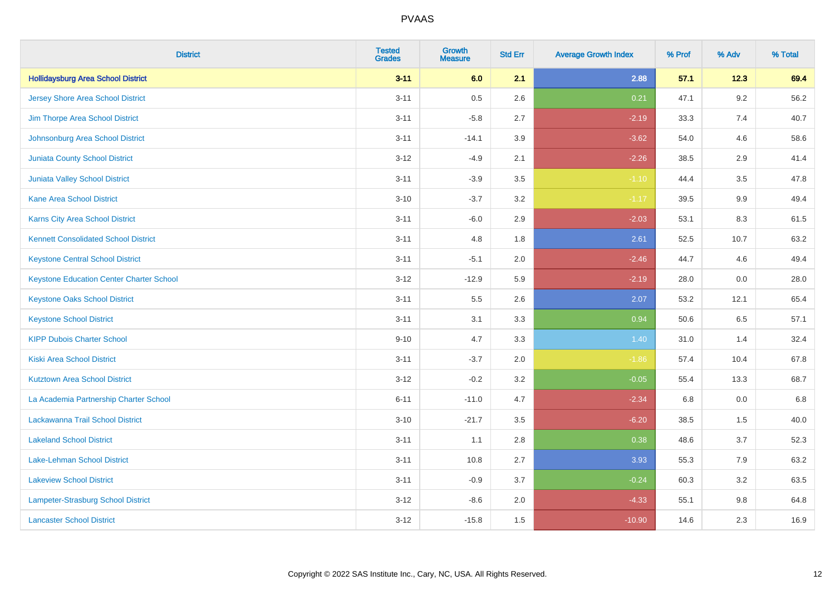| <b>District</b>                                 | <b>Tested</b><br><b>Grades</b> | <b>Growth</b><br><b>Measure</b> | <b>Std Err</b> | <b>Average Growth Index</b> | % Prof | % Adv   | % Total |
|-------------------------------------------------|--------------------------------|---------------------------------|----------------|-----------------------------|--------|---------|---------|
| <b>Hollidaysburg Area School District</b>       | $3 - 11$                       | 6.0                             | 2.1            | 2.88                        | 57.1   | 12.3    | 69.4    |
| <b>Jersey Shore Area School District</b>        | $3 - 11$                       | $0.5\,$                         | 2.6            | 0.21                        | 47.1   | $9.2\,$ | 56.2    |
| Jim Thorpe Area School District                 | $3 - 11$                       | $-5.8$                          | 2.7            | $-2.19$                     | 33.3   | 7.4     | 40.7    |
| Johnsonburg Area School District                | $3 - 11$                       | $-14.1$                         | 3.9            | $-3.62$                     | 54.0   | 4.6     | 58.6    |
| <b>Juniata County School District</b>           | $3 - 12$                       | $-4.9$                          | 2.1            | $-2.26$                     | 38.5   | 2.9     | 41.4    |
| <b>Juniata Valley School District</b>           | $3 - 11$                       | $-3.9$                          | 3.5            | $-1.10$                     | 44.4   | 3.5     | 47.8    |
| <b>Kane Area School District</b>                | $3 - 10$                       | $-3.7$                          | 3.2            | $-1.17$                     | 39.5   | 9.9     | 49.4    |
| <b>Karns City Area School District</b>          | $3 - 11$                       | $-6.0$                          | 2.9            | $-2.03$                     | 53.1   | 8.3     | 61.5    |
| <b>Kennett Consolidated School District</b>     | $3 - 11$                       | 4.8                             | 1.8            | 2.61                        | 52.5   | 10.7    | 63.2    |
| <b>Keystone Central School District</b>         | $3 - 11$                       | $-5.1$                          | 2.0            | $-2.46$                     | 44.7   | 4.6     | 49.4    |
| <b>Keystone Education Center Charter School</b> | $3 - 12$                       | $-12.9$                         | 5.9            | $-2.19$                     | 28.0   | 0.0     | 28.0    |
| <b>Keystone Oaks School District</b>            | $3 - 11$                       | $5.5\,$                         | 2.6            | 2.07                        | 53.2   | 12.1    | 65.4    |
| <b>Keystone School District</b>                 | $3 - 11$                       | 3.1                             | 3.3            | 0.94                        | 50.6   | $6.5\,$ | 57.1    |
| <b>KIPP Dubois Charter School</b>               | $9 - 10$                       | 4.7                             | 3.3            | 1.40                        | 31.0   | 1.4     | 32.4    |
| <b>Kiski Area School District</b>               | $3 - 11$                       | $-3.7$                          | 2.0            | $-1.86$                     | 57.4   | 10.4    | 67.8    |
| <b>Kutztown Area School District</b>            | $3 - 12$                       | $-0.2$                          | 3.2            | $-0.05$                     | 55.4   | 13.3    | 68.7    |
| La Academia Partnership Charter School          | $6 - 11$                       | $-11.0$                         | 4.7            | $-2.34$                     | 6.8    | 0.0     | 6.8     |
| Lackawanna Trail School District                | $3 - 10$                       | $-21.7$                         | 3.5            | $-6.20$                     | 38.5   | 1.5     | 40.0    |
| <b>Lakeland School District</b>                 | $3 - 11$                       | 1.1                             | 2.8            | 0.38                        | 48.6   | 3.7     | 52.3    |
| Lake-Lehman School District                     | $3 - 11$                       | 10.8                            | 2.7            | 3.93                        | 55.3   | 7.9     | 63.2    |
| <b>Lakeview School District</b>                 | $3 - 11$                       | $-0.9$                          | 3.7            | $-0.24$                     | 60.3   | 3.2     | 63.5    |
| <b>Lampeter-Strasburg School District</b>       | $3 - 12$                       | $-8.6$                          | 2.0            | $-4.33$                     | 55.1   | 9.8     | 64.8    |
| <b>Lancaster School District</b>                | $3 - 12$                       | $-15.8$                         | 1.5            | $-10.90$                    | 14.6   | 2.3     | 16.9    |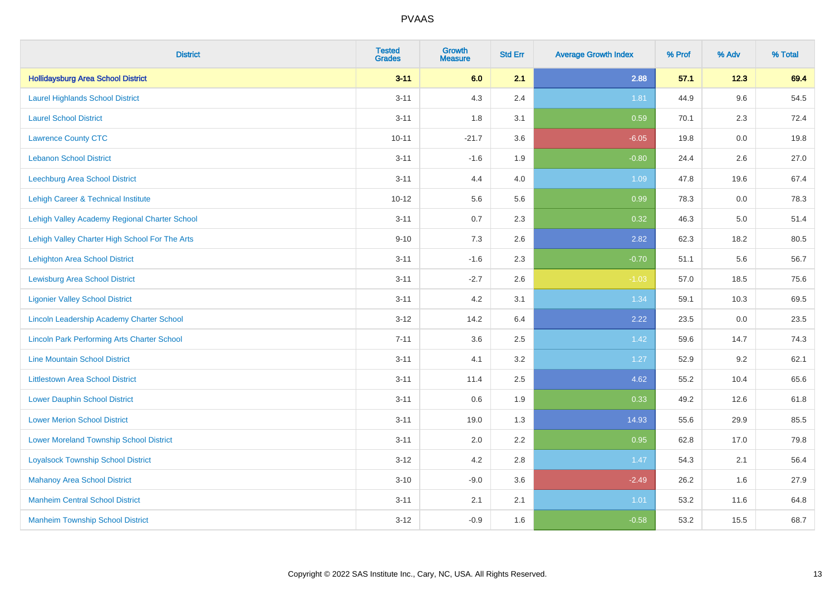| <b>District</b>                                    | <b>Tested</b><br><b>Grades</b> | Growth<br><b>Measure</b> | <b>Std Err</b> | <b>Average Growth Index</b> | % Prof | % Adv | % Total |
|----------------------------------------------------|--------------------------------|--------------------------|----------------|-----------------------------|--------|-------|---------|
| <b>Hollidaysburg Area School District</b>          | $3 - 11$                       | 6.0                      | 2.1            | 2.88                        | 57.1   | 12.3  | 69.4    |
| <b>Laurel Highlands School District</b>            | $3 - 11$                       | 4.3                      | 2.4            | 1.81                        | 44.9   | 9.6   | 54.5    |
| <b>Laurel School District</b>                      | $3 - 11$                       | 1.8                      | 3.1            | 0.59                        | 70.1   | 2.3   | 72.4    |
| <b>Lawrence County CTC</b>                         | $10 - 11$                      | $-21.7$                  | 3.6            | $-6.05$                     | 19.8   | 0.0   | 19.8    |
| <b>Lebanon School District</b>                     | $3 - 11$                       | $-1.6$                   | 1.9            | $-0.80$                     | 24.4   | 2.6   | 27.0    |
| Leechburg Area School District                     | $3 - 11$                       | 4.4                      | 4.0            | 1.09                        | 47.8   | 19.6  | 67.4    |
| Lehigh Career & Technical Institute                | $10 - 12$                      | 5.6                      | 5.6            | 0.99                        | 78.3   | 0.0   | 78.3    |
| Lehigh Valley Academy Regional Charter School      | $3 - 11$                       | 0.7                      | 2.3            | 0.32                        | 46.3   | 5.0   | 51.4    |
| Lehigh Valley Charter High School For The Arts     | $9 - 10$                       | 7.3                      | 2.6            | 2.82                        | 62.3   | 18.2  | 80.5    |
| <b>Lehighton Area School District</b>              | $3 - 11$                       | $-1.6$                   | 2.3            | $-0.70$                     | 51.1   | 5.6   | 56.7    |
| <b>Lewisburg Area School District</b>              | $3 - 11$                       | $-2.7$                   | 2.6            | $-1.03$                     | 57.0   | 18.5  | 75.6    |
| <b>Ligonier Valley School District</b>             | $3 - 11$                       | 4.2                      | 3.1            | 1.34                        | 59.1   | 10.3  | 69.5    |
| Lincoln Leadership Academy Charter School          | $3 - 12$                       | 14.2                     | 6.4            | 2.22                        | 23.5   | 0.0   | 23.5    |
| <b>Lincoln Park Performing Arts Charter School</b> | $7 - 11$                       | 3.6                      | 2.5            | 1.42                        | 59.6   | 14.7  | 74.3    |
| <b>Line Mountain School District</b>               | $3 - 11$                       | 4.1                      | 3.2            | 1.27                        | 52.9   | 9.2   | 62.1    |
| <b>Littlestown Area School District</b>            | $3 - 11$                       | 11.4                     | 2.5            | 4.62                        | 55.2   | 10.4  | 65.6    |
| <b>Lower Dauphin School District</b>               | $3 - 11$                       | 0.6                      | 1.9            | 0.33                        | 49.2   | 12.6  | 61.8    |
| <b>Lower Merion School District</b>                | $3 - 11$                       | 19.0                     | 1.3            | 14.93                       | 55.6   | 29.9  | 85.5    |
| <b>Lower Moreland Township School District</b>     | $3 - 11$                       | 2.0                      | 2.2            | 0.95                        | 62.8   | 17.0  | 79.8    |
| <b>Loyalsock Township School District</b>          | $3 - 12$                       | 4.2                      | 2.8            | 1.47                        | 54.3   | 2.1   | 56.4    |
| <b>Mahanoy Area School District</b>                | $3 - 10$                       | $-9.0$                   | 3.6            | $-2.49$                     | 26.2   | 1.6   | 27.9    |
| <b>Manheim Central School District</b>             | $3 - 11$                       | 2.1                      | 2.1            | 1.01                        | 53.2   | 11.6  | 64.8    |
| <b>Manheim Township School District</b>            | $3 - 12$                       | $-0.9$                   | 1.6            | $-0.58$                     | 53.2   | 15.5  | 68.7    |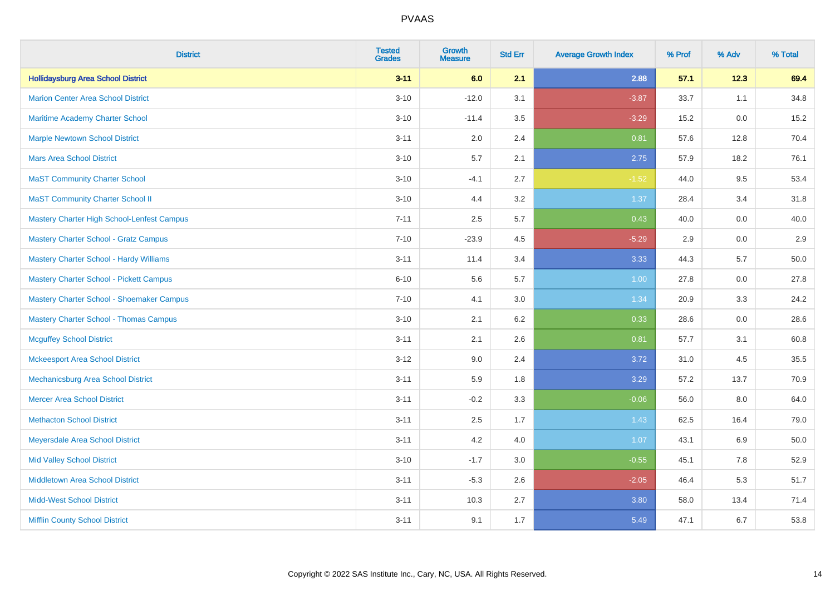| <b>District</b>                                | <b>Tested</b><br><b>Grades</b> | <b>Growth</b><br><b>Measure</b> | <b>Std Err</b> | <b>Average Growth Index</b> | % Prof | % Adv | % Total |
|------------------------------------------------|--------------------------------|---------------------------------|----------------|-----------------------------|--------|-------|---------|
| <b>Hollidaysburg Area School District</b>      | $3 - 11$                       | 6.0                             | 2.1            | 2.88                        | 57.1   | 12.3  | 69.4    |
| <b>Marion Center Area School District</b>      | $3 - 10$                       | $-12.0$                         | 3.1            | $-3.87$                     | 33.7   | 1.1   | 34.8    |
| Maritime Academy Charter School                | $3 - 10$                       | $-11.4$                         | 3.5            | $-3.29$                     | 15.2   | 0.0   | 15.2    |
| <b>Marple Newtown School District</b>          | $3 - 11$                       | 2.0                             | 2.4            | 0.81                        | 57.6   | 12.8  | 70.4    |
| <b>Mars Area School District</b>               | $3 - 10$                       | 5.7                             | 2.1            | 2.75                        | 57.9   | 18.2  | 76.1    |
| <b>MaST Community Charter School</b>           | $3 - 10$                       | $-4.1$                          | 2.7            | $-1.52$                     | 44.0   | 9.5   | 53.4    |
| <b>MaST Community Charter School II</b>        | $3 - 10$                       | 4.4                             | 3.2            | 1.37                        | 28.4   | 3.4   | 31.8    |
| Mastery Charter High School-Lenfest Campus     | $7 - 11$                       | 2.5                             | 5.7            | 0.43                        | 40.0   | 0.0   | 40.0    |
| <b>Mastery Charter School - Gratz Campus</b>   | $7 - 10$                       | $-23.9$                         | 4.5            | $-5.29$                     | 2.9    | 0.0   | 2.9     |
| <b>Mastery Charter School - Hardy Williams</b> | $3 - 11$                       | 11.4                            | 3.4            | 3.33                        | 44.3   | 5.7   | 50.0    |
| <b>Mastery Charter School - Pickett Campus</b> | $6 - 10$                       | 5.6                             | 5.7            | 1.00                        | 27.8   | 0.0   | 27.8    |
| Mastery Charter School - Shoemaker Campus      | $7 - 10$                       | 4.1                             | 3.0            | 1.34                        | 20.9   | 3.3   | 24.2    |
| <b>Mastery Charter School - Thomas Campus</b>  | $3 - 10$                       | 2.1                             | 6.2            | 0.33                        | 28.6   | 0.0   | 28.6    |
| <b>Mcguffey School District</b>                | $3 - 11$                       | 2.1                             | 2.6            | 0.81                        | 57.7   | 3.1   | 60.8    |
| <b>Mckeesport Area School District</b>         | $3 - 12$                       | 9.0                             | 2.4            | 3.72                        | 31.0   | 4.5   | 35.5    |
| Mechanicsburg Area School District             | $3 - 11$                       | 5.9                             | 1.8            | 3.29                        | 57.2   | 13.7  | 70.9    |
| <b>Mercer Area School District</b>             | $3 - 11$                       | $-0.2$                          | 3.3            | $-0.06$                     | 56.0   | 8.0   | 64.0    |
| <b>Methacton School District</b>               | $3 - 11$                       | 2.5                             | 1.7            | 1.43                        | 62.5   | 16.4  | 79.0    |
| Meyersdale Area School District                | $3 - 11$                       | 4.2                             | 4.0            | 1.07                        | 43.1   | 6.9   | 50.0    |
| <b>Mid Valley School District</b>              | $3 - 10$                       | $-1.7$                          | 3.0            | $-0.55$                     | 45.1   | 7.8   | 52.9    |
| Middletown Area School District                | $3 - 11$                       | $-5.3$                          | 2.6            | $-2.05$                     | 46.4   | 5.3   | 51.7    |
| <b>Midd-West School District</b>               | $3 - 11$                       | 10.3                            | 2.7            | 3.80                        | 58.0   | 13.4  | 71.4    |
| <b>Mifflin County School District</b>          | $3 - 11$                       | 9.1                             | 1.7            | 5.49                        | 47.1   | 6.7   | 53.8    |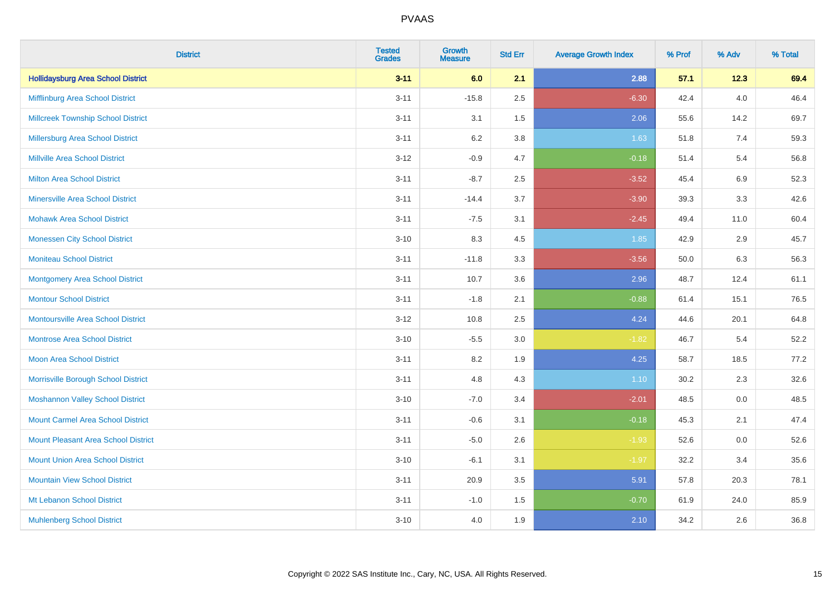| <b>District</b>                            | <b>Tested</b><br><b>Grades</b> | <b>Growth</b><br><b>Measure</b> | <b>Std Err</b> | <b>Average Growth Index</b> | % Prof | % Adv   | % Total |
|--------------------------------------------|--------------------------------|---------------------------------|----------------|-----------------------------|--------|---------|---------|
| <b>Hollidaysburg Area School District</b>  | $3 - 11$                       | 6.0                             | 2.1            | 2.88                        | 57.1   | 12.3    | 69.4    |
| Mifflinburg Area School District           | $3 - 11$                       | $-15.8$                         | 2.5            | $-6.30$                     | 42.4   | 4.0     | 46.4    |
| <b>Millcreek Township School District</b>  | $3 - 11$                       | 3.1                             | 1.5            | 2.06                        | 55.6   | 14.2    | 69.7    |
| <b>Millersburg Area School District</b>    | $3 - 11$                       | 6.2                             | 3.8            | 1.63                        | 51.8   | 7.4     | 59.3    |
| <b>Millville Area School District</b>      | $3-12$                         | $-0.9$                          | 4.7            | $-0.18$                     | 51.4   | 5.4     | 56.8    |
| <b>Milton Area School District</b>         | $3 - 11$                       | $-8.7$                          | 2.5            | $-3.52$                     | 45.4   | $6.9\,$ | 52.3    |
| <b>Minersville Area School District</b>    | $3 - 11$                       | $-14.4$                         | 3.7            | $-3.90$                     | 39.3   | 3.3     | 42.6    |
| <b>Mohawk Area School District</b>         | $3 - 11$                       | $-7.5$                          | 3.1            | $-2.45$                     | 49.4   | 11.0    | 60.4    |
| <b>Monessen City School District</b>       | $3 - 10$                       | 8.3                             | 4.5            | 1.85                        | 42.9   | 2.9     | 45.7    |
| <b>Moniteau School District</b>            | $3 - 11$                       | $-11.8$                         | 3.3            | $-3.56$                     | 50.0   | 6.3     | 56.3    |
| <b>Montgomery Area School District</b>     | $3 - 11$                       | 10.7                            | 3.6            | 2.96                        | 48.7   | 12.4    | 61.1    |
| <b>Montour School District</b>             | $3 - 11$                       | $-1.8$                          | 2.1            | $-0.88$                     | 61.4   | 15.1    | 76.5    |
| <b>Montoursville Area School District</b>  | $3-12$                         | 10.8                            | 2.5            | 4.24                        | 44.6   | 20.1    | 64.8    |
| <b>Montrose Area School District</b>       | $3 - 10$                       | $-5.5$                          | 3.0            | $-1.82$                     | 46.7   | 5.4     | 52.2    |
| Moon Area School District                  | $3 - 11$                       | 8.2                             | 1.9            | 4.25                        | 58.7   | 18.5    | 77.2    |
| Morrisville Borough School District        | $3 - 11$                       | 4.8                             | 4.3            | 1.10                        | 30.2   | 2.3     | 32.6    |
| <b>Moshannon Valley School District</b>    | $3 - 10$                       | $-7.0$                          | 3.4            | $-2.01$                     | 48.5   | 0.0     | 48.5    |
| <b>Mount Carmel Area School District</b>   | $3 - 11$                       | $-0.6$                          | 3.1            | $-0.18$                     | 45.3   | 2.1     | 47.4    |
| <b>Mount Pleasant Area School District</b> | $3 - 11$                       | $-5.0$                          | 2.6            | $-1.93$                     | 52.6   | 0.0     | 52.6    |
| <b>Mount Union Area School District</b>    | $3 - 10$                       | $-6.1$                          | 3.1            | $-1.97$                     | 32.2   | 3.4     | 35.6    |
| <b>Mountain View School District</b>       | $3 - 11$                       | 20.9                            | 3.5            | 5.91                        | 57.8   | 20.3    | 78.1    |
| Mt Lebanon School District                 | $3 - 11$                       | $-1.0$                          | 1.5            | $-0.70$                     | 61.9   | 24.0    | 85.9    |
| <b>Muhlenberg School District</b>          | $3 - 10$                       | 4.0                             | 1.9            | 2.10                        | 34.2   | 2.6     | 36.8    |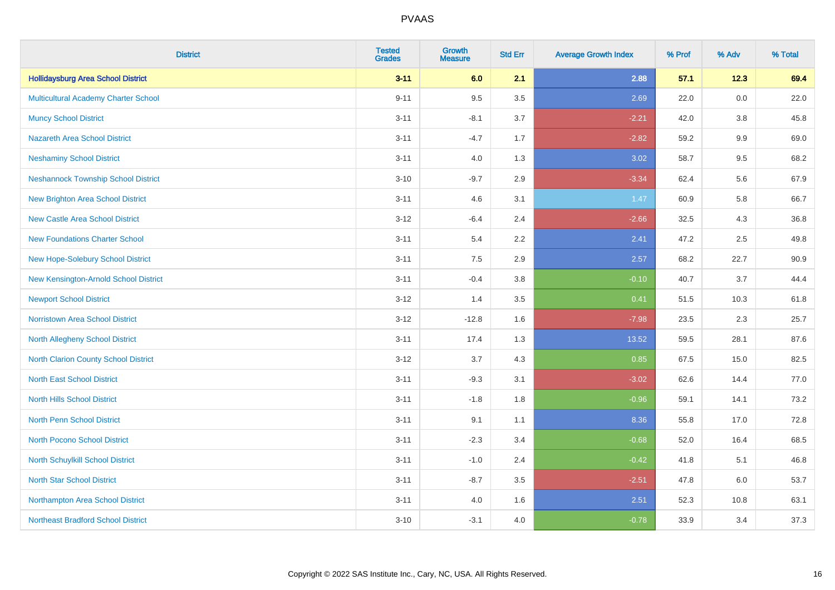| <b>District</b>                             | <b>Tested</b><br><b>Grades</b> | <b>Growth</b><br><b>Measure</b> | <b>Std Err</b> | <b>Average Growth Index</b> | % Prof | % Adv   | % Total |
|---------------------------------------------|--------------------------------|---------------------------------|----------------|-----------------------------|--------|---------|---------|
| <b>Hollidaysburg Area School District</b>   | $3 - 11$                       | 6.0                             | 2.1            | 2.88                        | 57.1   | 12.3    | 69.4    |
| Multicultural Academy Charter School        | $9 - 11$                       | 9.5                             | 3.5            | 2.69                        | 22.0   | 0.0     | 22.0    |
| <b>Muncy School District</b>                | $3 - 11$                       | $-8.1$                          | 3.7            | $-2.21$                     | 42.0   | 3.8     | 45.8    |
| <b>Nazareth Area School District</b>        | $3 - 11$                       | $-4.7$                          | 1.7            | $-2.82$                     | 59.2   | $9.9\,$ | 69.0    |
| <b>Neshaminy School District</b>            | $3 - 11$                       | 4.0                             | 1.3            | 3.02                        | 58.7   | 9.5     | 68.2    |
| <b>Neshannock Township School District</b>  | $3 - 10$                       | $-9.7$                          | 2.9            | $-3.34$                     | 62.4   | 5.6     | 67.9    |
| <b>New Brighton Area School District</b>    | $3 - 11$                       | 4.6                             | 3.1            | 1.47                        | 60.9   | 5.8     | 66.7    |
| <b>New Castle Area School District</b>      | $3 - 12$                       | $-6.4$                          | 2.4            | $-2.66$                     | 32.5   | 4.3     | 36.8    |
| <b>New Foundations Charter School</b>       | $3 - 11$                       | 5.4                             | 2.2            | 2.41                        | 47.2   | 2.5     | 49.8    |
| New Hope-Solebury School District           | $3 - 11$                       | 7.5                             | 2.9            | 2.57                        | 68.2   | 22.7    | 90.9    |
| New Kensington-Arnold School District       | $3 - 11$                       | $-0.4$                          | 3.8            | $-0.10$                     | 40.7   | 3.7     | 44.4    |
| <b>Newport School District</b>              | $3 - 12$                       | 1.4                             | 3.5            | 0.41                        | 51.5   | 10.3    | 61.8    |
| Norristown Area School District             | $3 - 12$                       | $-12.8$                         | 1.6            | $-7.98$                     | 23.5   | 2.3     | 25.7    |
| <b>North Allegheny School District</b>      | $3 - 11$                       | 17.4                            | 1.3            | 13.52                       | 59.5   | 28.1    | 87.6    |
| <b>North Clarion County School District</b> | $3 - 12$                       | 3.7                             | 4.3            | 0.85                        | 67.5   | 15.0    | 82.5    |
| <b>North East School District</b>           | $3 - 11$                       | $-9.3$                          | 3.1            | $-3.02$                     | 62.6   | 14.4    | 77.0    |
| <b>North Hills School District</b>          | $3 - 11$                       | $-1.8$                          | 1.8            | $-0.96$                     | 59.1   | 14.1    | 73.2    |
| <b>North Penn School District</b>           | $3 - 11$                       | 9.1                             | 1.1            | 8.36                        | 55.8   | 17.0    | 72.8    |
| North Pocono School District                | $3 - 11$                       | $-2.3$                          | 3.4            | $-0.68$                     | 52.0   | 16.4    | 68.5    |
| North Schuylkill School District            | $3 - 11$                       | $-1.0$                          | 2.4            | $-0.42$                     | 41.8   | 5.1     | 46.8    |
| <b>North Star School District</b>           | $3 - 11$                       | $-8.7$                          | 3.5            | $-2.51$                     | 47.8   | 6.0     | 53.7    |
| Northampton Area School District            | $3 - 11$                       | 4.0                             | 1.6            | 2.51                        | 52.3   | 10.8    | 63.1    |
| <b>Northeast Bradford School District</b>   | $3 - 10$                       | $-3.1$                          | 4.0            | $-0.78$                     | 33.9   | 3.4     | 37.3    |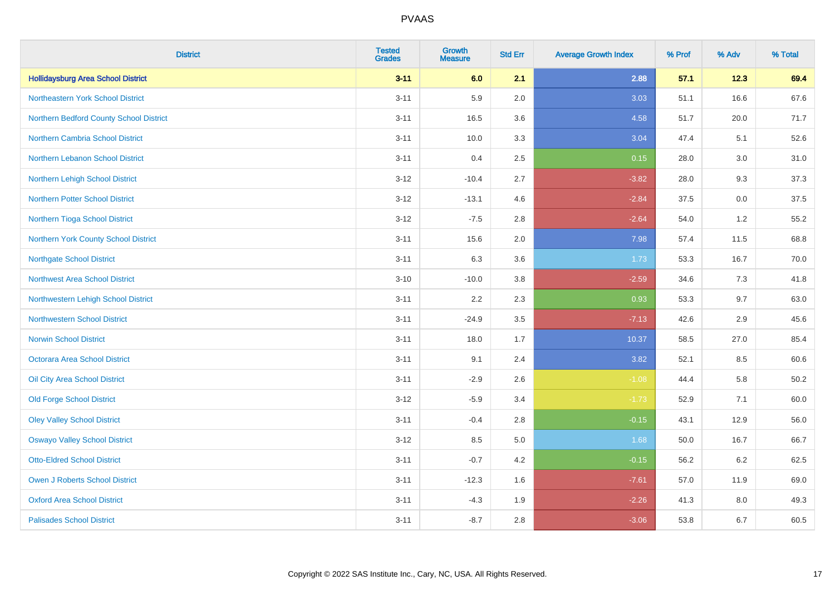| <b>District</b>                           | <b>Tested</b><br><b>Grades</b> | <b>Growth</b><br><b>Measure</b> | <b>Std Err</b> | <b>Average Growth Index</b> | % Prof | % Adv | % Total |
|-------------------------------------------|--------------------------------|---------------------------------|----------------|-----------------------------|--------|-------|---------|
| <b>Hollidaysburg Area School District</b> | $3 - 11$                       | 6.0                             | 2.1            | 2.88                        | 57.1   | 12.3  | 69.4    |
| Northeastern York School District         | $3 - 11$                       | 5.9                             | 2.0            | 3.03                        | 51.1   | 16.6  | 67.6    |
| Northern Bedford County School District   | $3 - 11$                       | 16.5                            | 3.6            | 4.58                        | 51.7   | 20.0  | 71.7    |
| Northern Cambria School District          | $3 - 11$                       | 10.0                            | 3.3            | 3.04                        | 47.4   | 5.1   | 52.6    |
| Northern Lebanon School District          | $3 - 11$                       | 0.4                             | 2.5            | 0.15                        | 28.0   | 3.0   | 31.0    |
| Northern Lehigh School District           | $3 - 12$                       | $-10.4$                         | 2.7            | $-3.82$                     | 28.0   | 9.3   | 37.3    |
| <b>Northern Potter School District</b>    | $3 - 12$                       | $-13.1$                         | 4.6            | $-2.84$                     | 37.5   | 0.0   | 37.5    |
| Northern Tioga School District            | $3 - 12$                       | $-7.5$                          | 2.8            | $-2.64$                     | 54.0   | 1.2   | 55.2    |
| Northern York County School District      | $3 - 11$                       | 15.6                            | 2.0            | 7.98                        | 57.4   | 11.5  | 68.8    |
| <b>Northgate School District</b>          | $3 - 11$                       | 6.3                             | 3.6            | 1.73                        | 53.3   | 16.7  | 70.0    |
| Northwest Area School District            | $3 - 10$                       | $-10.0$                         | 3.8            | $-2.59$                     | 34.6   | 7.3   | 41.8    |
| Northwestern Lehigh School District       | $3 - 11$                       | 2.2                             | 2.3            | 0.93                        | 53.3   | 9.7   | 63.0    |
| <b>Northwestern School District</b>       | $3 - 11$                       | $-24.9$                         | 3.5            | $-7.13$                     | 42.6   | 2.9   | 45.6    |
| <b>Norwin School District</b>             | $3 - 11$                       | 18.0                            | 1.7            | 10.37                       | 58.5   | 27.0  | 85.4    |
| Octorara Area School District             | $3 - 11$                       | 9.1                             | 2.4            | 3.82                        | 52.1   | 8.5   | 60.6    |
| Oil City Area School District             | $3 - 11$                       | $-2.9$                          | 2.6            | $-1.08$                     | 44.4   | 5.8   | 50.2    |
| <b>Old Forge School District</b>          | $3 - 12$                       | $-5.9$                          | 3.4            | $-1.73$                     | 52.9   | 7.1   | 60.0    |
| <b>Oley Valley School District</b>        | $3 - 11$                       | $-0.4$                          | 2.8            | $-0.15$                     | 43.1   | 12.9  | 56.0    |
| <b>Oswayo Valley School District</b>      | $3 - 12$                       | 8.5                             | $5.0\,$        | 1.68                        | 50.0   | 16.7  | 66.7    |
| <b>Otto-Eldred School District</b>        | $3 - 11$                       | $-0.7$                          | 4.2            | $-0.15$                     | 56.2   | 6.2   | 62.5    |
| <b>Owen J Roberts School District</b>     | $3 - 11$                       | $-12.3$                         | 1.6            | $-7.61$                     | 57.0   | 11.9  | 69.0    |
| <b>Oxford Area School District</b>        | $3 - 11$                       | $-4.3$                          | 1.9            | $-2.26$                     | 41.3   | 8.0   | 49.3    |
| <b>Palisades School District</b>          | $3 - 11$                       | $-8.7$                          | 2.8            | $-3.06$                     | 53.8   | 6.7   | 60.5    |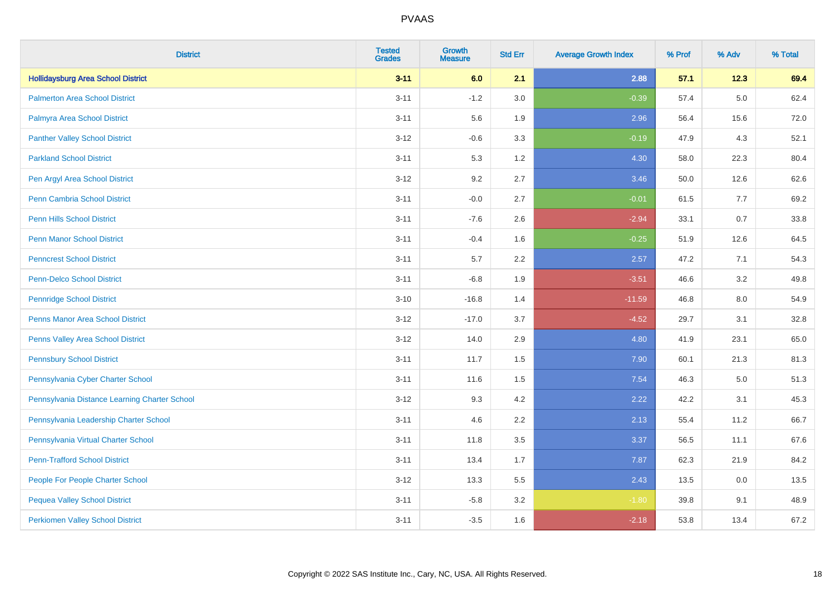| <b>District</b>                               | <b>Tested</b><br><b>Grades</b> | <b>Growth</b><br><b>Measure</b> | <b>Std Err</b> | <b>Average Growth Index</b> | % Prof | % Adv   | % Total |
|-----------------------------------------------|--------------------------------|---------------------------------|----------------|-----------------------------|--------|---------|---------|
| <b>Hollidaysburg Area School District</b>     | $3 - 11$                       | 6.0                             | 2.1            | 2.88                        | 57.1   | 12.3    | 69.4    |
| <b>Palmerton Area School District</b>         | $3 - 11$                       | $-1.2$                          | 3.0            | $-0.39$                     | 57.4   | $5.0\,$ | 62.4    |
| Palmyra Area School District                  | $3 - 11$                       | 5.6                             | 1.9            | 2.96                        | 56.4   | 15.6    | 72.0    |
| <b>Panther Valley School District</b>         | $3 - 12$                       | $-0.6$                          | 3.3            | $-0.19$                     | 47.9   | 4.3     | 52.1    |
| <b>Parkland School District</b>               | $3 - 11$                       | 5.3                             | 1.2            | 4.30                        | 58.0   | 22.3    | 80.4    |
| Pen Argyl Area School District                | $3 - 12$                       | 9.2                             | 2.7            | 3.46                        | 50.0   | 12.6    | 62.6    |
| Penn Cambria School District                  | $3 - 11$                       | $-0.0$                          | 2.7            | $-0.01$                     | 61.5   | 7.7     | 69.2    |
| <b>Penn Hills School District</b>             | $3 - 11$                       | $-7.6$                          | 2.6            | $-2.94$                     | 33.1   | 0.7     | 33.8    |
| <b>Penn Manor School District</b>             | $3 - 11$                       | $-0.4$                          | 1.6            | $-0.25$                     | 51.9   | 12.6    | 64.5    |
| <b>Penncrest School District</b>              | $3 - 11$                       | 5.7                             | 2.2            | 2.57                        | 47.2   | 7.1     | 54.3    |
| <b>Penn-Delco School District</b>             | $3 - 11$                       | $-6.8$                          | 1.9            | $-3.51$                     | 46.6   | 3.2     | 49.8    |
| <b>Pennridge School District</b>              | $3 - 10$                       | $-16.8$                         | 1.4            | $-11.59$                    | 46.8   | 8.0     | 54.9    |
| Penns Manor Area School District              | $3 - 12$                       | $-17.0$                         | 3.7            | $-4.52$                     | 29.7   | 3.1     | 32.8    |
| Penns Valley Area School District             | $3 - 12$                       | 14.0                            | 2.9            | 4.80                        | 41.9   | 23.1    | 65.0    |
| <b>Pennsbury School District</b>              | $3 - 11$                       | 11.7                            | 1.5            | 7.90                        | 60.1   | 21.3    | 81.3    |
| Pennsylvania Cyber Charter School             | $3 - 11$                       | 11.6                            | 1.5            | 7.54                        | 46.3   | 5.0     | 51.3    |
| Pennsylvania Distance Learning Charter School | $3 - 12$                       | 9.3                             | 4.2            | 2.22                        | 42.2   | 3.1     | 45.3    |
| Pennsylvania Leadership Charter School        | $3 - 11$                       | 4.6                             | 2.2            | 2.13                        | 55.4   | 11.2    | 66.7    |
| Pennsylvania Virtual Charter School           | $3 - 11$                       | 11.8                            | 3.5            | 3.37                        | 56.5   | 11.1    | 67.6    |
| <b>Penn-Trafford School District</b>          | $3 - 11$                       | 13.4                            | 1.7            | 7.87                        | 62.3   | 21.9    | 84.2    |
| People For People Charter School              | $3 - 12$                       | 13.3                            | 5.5            | 2.43                        | 13.5   | 0.0     | 13.5    |
| <b>Pequea Valley School District</b>          | $3 - 11$                       | $-5.8$                          | 3.2            | $-1.80$                     | 39.8   | 9.1     | 48.9    |
| <b>Perkiomen Valley School District</b>       | $3 - 11$                       | $-3.5$                          | 1.6            | $-2.18$                     | 53.8   | 13.4    | 67.2    |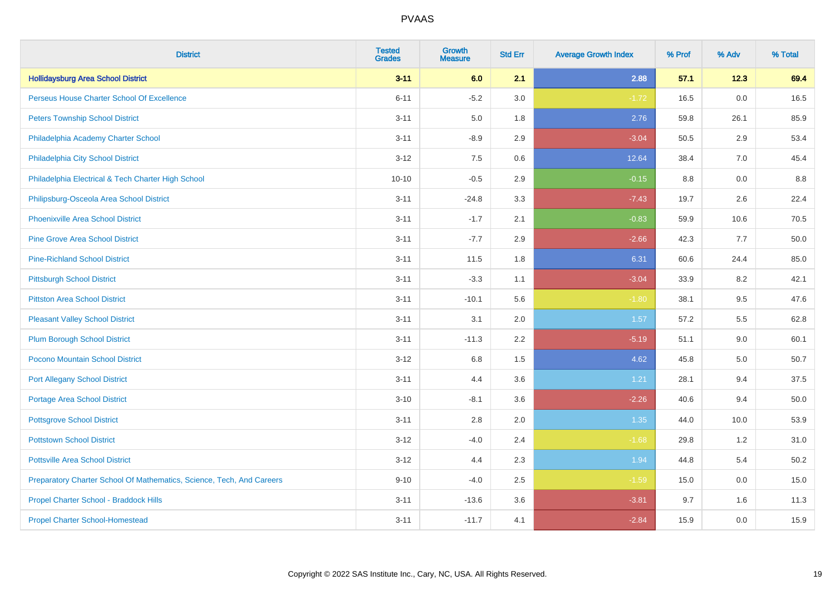| <b>District</b>                                                       | <b>Tested</b><br><b>Grades</b> | <b>Growth</b><br><b>Measure</b> | <b>Std Err</b> | <b>Average Growth Index</b> | % Prof | % Adv | % Total |
|-----------------------------------------------------------------------|--------------------------------|---------------------------------|----------------|-----------------------------|--------|-------|---------|
| <b>Hollidaysburg Area School District</b>                             | $3 - 11$                       | 6.0                             | 2.1            | 2.88                        | 57.1   | 12.3  | 69.4    |
| Perseus House Charter School Of Excellence                            | $6 - 11$                       | $-5.2$                          | 3.0            | $-1.72$                     | 16.5   | 0.0   | 16.5    |
| <b>Peters Township School District</b>                                | $3 - 11$                       | 5.0                             | 1.8            | 2.76                        | 59.8   | 26.1  | 85.9    |
| Philadelphia Academy Charter School                                   | $3 - 11$                       | $-8.9$                          | 2.9            | $-3.04$                     | 50.5   | 2.9   | 53.4    |
| Philadelphia City School District                                     | $3 - 12$                       | 7.5                             | 0.6            | 12.64                       | 38.4   | 7.0   | 45.4    |
| Philadelphia Electrical & Tech Charter High School                    | $10 - 10$                      | $-0.5$                          | 2.9            | $-0.15$                     | 8.8    | 0.0   | 8.8     |
| Philipsburg-Osceola Area School District                              | $3 - 11$                       | $-24.8$                         | 3.3            | $-7.43$                     | 19.7   | 2.6   | 22.4    |
| <b>Phoenixville Area School District</b>                              | $3 - 11$                       | $-1.7$                          | 2.1            | $-0.83$                     | 59.9   | 10.6  | 70.5    |
| <b>Pine Grove Area School District</b>                                | $3 - 11$                       | $-7.7$                          | 2.9            | $-2.66$                     | 42.3   | 7.7   | 50.0    |
| <b>Pine-Richland School District</b>                                  | $3 - 11$                       | 11.5                            | 1.8            | 6.31                        | 60.6   | 24.4  | 85.0    |
| <b>Pittsburgh School District</b>                                     | $3 - 11$                       | $-3.3$                          | 1.1            | $-3.04$                     | 33.9   | 8.2   | 42.1    |
| <b>Pittston Area School District</b>                                  | $3 - 11$                       | $-10.1$                         | 5.6            | $-1.80$                     | 38.1   | 9.5   | 47.6    |
| <b>Pleasant Valley School District</b>                                | $3 - 11$                       | 3.1                             | 2.0            | 1.57                        | 57.2   | 5.5   | 62.8    |
| <b>Plum Borough School District</b>                                   | $3 - 11$                       | $-11.3$                         | 2.2            | $-5.19$                     | 51.1   | 9.0   | 60.1    |
| Pocono Mountain School District                                       | $3 - 12$                       | 6.8                             | 1.5            | 4.62                        | 45.8   | 5.0   | 50.7    |
| <b>Port Allegany School District</b>                                  | $3 - 11$                       | 4.4                             | 3.6            | 1.21                        | 28.1   | 9.4   | 37.5    |
| <b>Portage Area School District</b>                                   | $3 - 10$                       | $-8.1$                          | 3.6            | $-2.26$                     | 40.6   | 9.4   | 50.0    |
| <b>Pottsgrove School District</b>                                     | $3 - 11$                       | 2.8                             | 2.0            | 1.35                        | 44.0   | 10.0  | 53.9    |
| <b>Pottstown School District</b>                                      | $3 - 12$                       | $-4.0$                          | 2.4            | $-1.68$                     | 29.8   | 1.2   | 31.0    |
| <b>Pottsville Area School District</b>                                | $3 - 12$                       | 4.4                             | 2.3            | 1.94                        | 44.8   | 5.4   | 50.2    |
| Preparatory Charter School Of Mathematics, Science, Tech, And Careers | $9 - 10$                       | $-4.0$                          | 2.5            | $-1.59$                     | 15.0   | 0.0   | 15.0    |
| Propel Charter School - Braddock Hills                                | $3 - 11$                       | $-13.6$                         | 3.6            | $-3.81$                     | 9.7    | 1.6   | 11.3    |
| <b>Propel Charter School-Homestead</b>                                | $3 - 11$                       | $-11.7$                         | 4.1            | $-2.84$                     | 15.9   | 0.0   | 15.9    |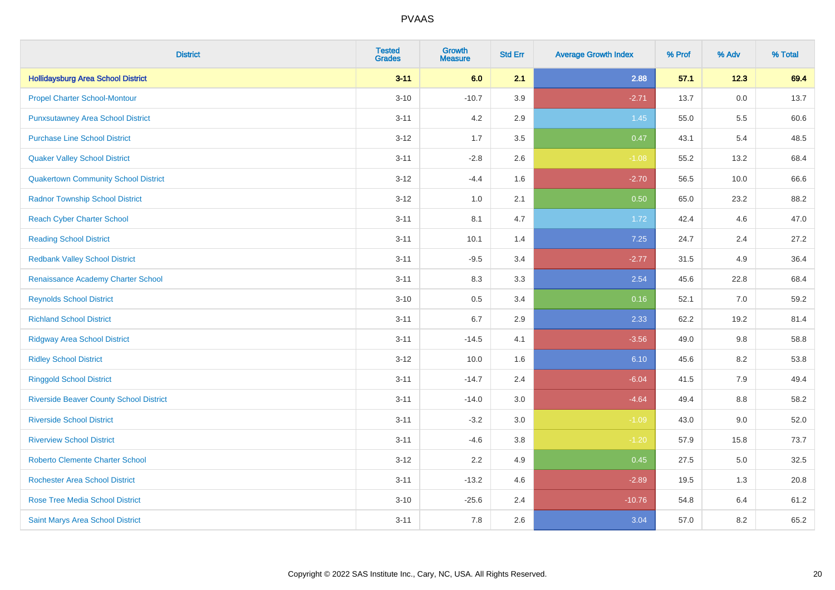| <b>District</b>                                | <b>Tested</b><br><b>Grades</b> | <b>Growth</b><br><b>Measure</b> | <b>Std Err</b> | <b>Average Growth Index</b> | % Prof | % Adv | % Total |
|------------------------------------------------|--------------------------------|---------------------------------|----------------|-----------------------------|--------|-------|---------|
| <b>Hollidaysburg Area School District</b>      | $3 - 11$                       | 6.0                             | 2.1            | 2.88                        | 57.1   | 12.3  | 69.4    |
| <b>Propel Charter School-Montour</b>           | $3 - 10$                       | $-10.7$                         | 3.9            | $-2.71$                     | 13.7   | 0.0   | 13.7    |
| <b>Punxsutawney Area School District</b>       | $3 - 11$                       | 4.2                             | 2.9            | 1.45                        | 55.0   | 5.5   | 60.6    |
| <b>Purchase Line School District</b>           | $3-12$                         | 1.7                             | 3.5            | 0.47                        | 43.1   | 5.4   | 48.5    |
| <b>Quaker Valley School District</b>           | $3 - 11$                       | $-2.8$                          | 2.6            | $-1.08$                     | 55.2   | 13.2  | 68.4    |
| <b>Quakertown Community School District</b>    | $3 - 12$                       | $-4.4$                          | 1.6            | $-2.70$                     | 56.5   | 10.0  | 66.6    |
| <b>Radnor Township School District</b>         | $3 - 12$                       | 1.0                             | 2.1            | 0.50                        | 65.0   | 23.2  | 88.2    |
| <b>Reach Cyber Charter School</b>              | $3 - 11$                       | 8.1                             | 4.7            | 1.72                        | 42.4   | 4.6   | 47.0    |
| <b>Reading School District</b>                 | $3 - 11$                       | 10.1                            | 1.4            | 7.25                        | 24.7   | 2.4   | 27.2    |
| <b>Redbank Valley School District</b>          | $3 - 11$                       | $-9.5$                          | 3.4            | $-2.77$                     | 31.5   | 4.9   | 36.4    |
| Renaissance Academy Charter School             | $3 - 11$                       | 8.3                             | 3.3            | 2.54                        | 45.6   | 22.8  | 68.4    |
| <b>Reynolds School District</b>                | $3 - 10$                       | 0.5                             | 3.4            | 0.16                        | 52.1   | 7.0   | 59.2    |
| <b>Richland School District</b>                | $3 - 11$                       | 6.7                             | 2.9            | 2.33                        | 62.2   | 19.2  | 81.4    |
| <b>Ridgway Area School District</b>            | $3 - 11$                       | $-14.5$                         | 4.1            | $-3.56$                     | 49.0   | 9.8   | 58.8    |
| <b>Ridley School District</b>                  | $3 - 12$                       | 10.0                            | 1.6            | 6.10                        | 45.6   | 8.2   | 53.8    |
| <b>Ringgold School District</b>                | $3 - 11$                       | $-14.7$                         | 2.4            | $-6.04$                     | 41.5   | 7.9   | 49.4    |
| <b>Riverside Beaver County School District</b> | $3 - 11$                       | $-14.0$                         | 3.0            | $-4.64$                     | 49.4   | 8.8   | 58.2    |
| <b>Riverside School District</b>               | $3 - 11$                       | $-3.2$                          | 3.0            | $-1.09$                     | 43.0   | 9.0   | 52.0    |
| <b>Riverview School District</b>               | $3 - 11$                       | $-4.6$                          | 3.8            | $-1.20$                     | 57.9   | 15.8  | 73.7    |
| <b>Roberto Clemente Charter School</b>         | $3 - 12$                       | 2.2                             | 4.9            | 0.45                        | 27.5   | 5.0   | 32.5    |
| <b>Rochester Area School District</b>          | $3 - 11$                       | $-13.2$                         | 4.6            | $-2.89$                     | 19.5   | 1.3   | 20.8    |
| <b>Rose Tree Media School District</b>         | $3 - 10$                       | $-25.6$                         | 2.4            | $-10.76$                    | 54.8   | 6.4   | 61.2    |
| Saint Marys Area School District               | $3 - 11$                       | 7.8                             | 2.6            | 3.04                        | 57.0   | 8.2   | 65.2    |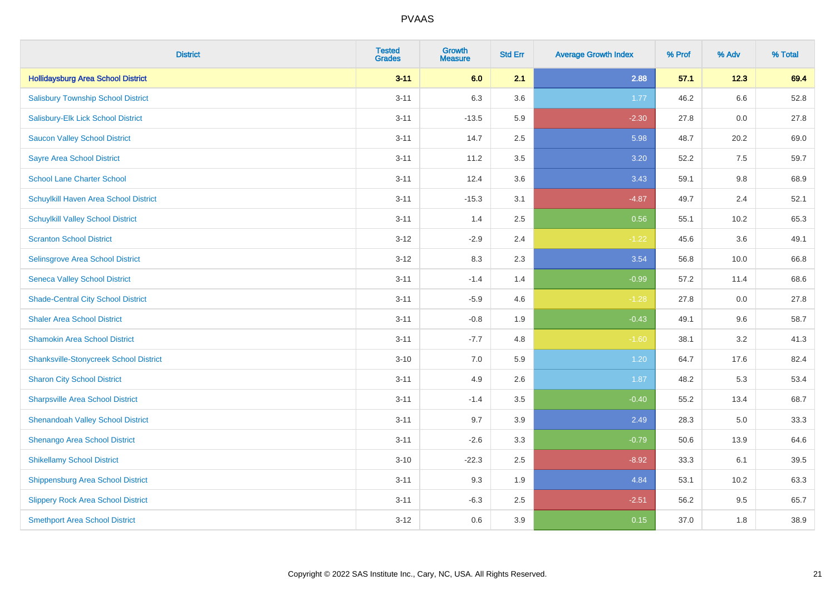| <b>District</b>                               | <b>Tested</b><br><b>Grades</b> | <b>Growth</b><br><b>Measure</b> | <b>Std Err</b> | <b>Average Growth Index</b> | % Prof | % Adv   | % Total |
|-----------------------------------------------|--------------------------------|---------------------------------|----------------|-----------------------------|--------|---------|---------|
| <b>Hollidaysburg Area School District</b>     | $3 - 11$                       | 6.0                             | 2.1            | 2.88                        | 57.1   | 12.3    | 69.4    |
| <b>Salisbury Township School District</b>     | $3 - 11$                       | 6.3                             | 3.6            | 1.77                        | 46.2   | $6.6\,$ | 52.8    |
| Salisbury-Elk Lick School District            | $3 - 11$                       | $-13.5$                         | 5.9            | $-2.30$                     | 27.8   | 0.0     | 27.8    |
| <b>Saucon Valley School District</b>          | $3 - 11$                       | 14.7                            | 2.5            | 5.98                        | 48.7   | 20.2    | 69.0    |
| <b>Sayre Area School District</b>             | $3 - 11$                       | 11.2                            | 3.5            | 3.20                        | 52.2   | 7.5     | 59.7    |
| <b>School Lane Charter School</b>             | $3 - 11$                       | 12.4                            | 3.6            | 3.43                        | 59.1   | 9.8     | 68.9    |
| Schuylkill Haven Area School District         | $3 - 11$                       | $-15.3$                         | 3.1            | $-4.87$                     | 49.7   | 2.4     | 52.1    |
| <b>Schuylkill Valley School District</b>      | $3 - 11$                       | 1.4                             | 2.5            | 0.56                        | 55.1   | 10.2    | 65.3    |
| <b>Scranton School District</b>               | $3 - 12$                       | $-2.9$                          | 2.4            | $-1.22$                     | 45.6   | 3.6     | 49.1    |
| <b>Selinsgrove Area School District</b>       | $3 - 12$                       | 8.3                             | 2.3            | 3.54                        | 56.8   | 10.0    | 66.8    |
| <b>Seneca Valley School District</b>          | $3 - 11$                       | $-1.4$                          | 1.4            | $-0.99$                     | 57.2   | 11.4    | 68.6    |
| <b>Shade-Central City School District</b>     | $3 - 11$                       | $-5.9$                          | 4.6            | $-1.28$                     | 27.8   | 0.0     | 27.8    |
| <b>Shaler Area School District</b>            | $3 - 11$                       | $-0.8$                          | 1.9            | $-0.43$                     | 49.1   | 9.6     | 58.7    |
| <b>Shamokin Area School District</b>          | $3 - 11$                       | $-7.7$                          | 4.8            | $-1.60$                     | 38.1   | 3.2     | 41.3    |
| <b>Shanksville-Stonycreek School District</b> | $3 - 10$                       | 7.0                             | 5.9            | 1.20                        | 64.7   | 17.6    | 82.4    |
| <b>Sharon City School District</b>            | $3 - 11$                       | 4.9                             | 2.6            | 1.87                        | 48.2   | 5.3     | 53.4    |
| <b>Sharpsville Area School District</b>       | $3 - 11$                       | $-1.4$                          | 3.5            | $-0.40$                     | 55.2   | 13.4    | 68.7    |
| <b>Shenandoah Valley School District</b>      | $3 - 11$                       | 9.7                             | 3.9            | 2.49                        | 28.3   | 5.0     | 33.3    |
| Shenango Area School District                 | $3 - 11$                       | $-2.6$                          | 3.3            | $-0.79$                     | 50.6   | 13.9    | 64.6    |
| <b>Shikellamy School District</b>             | $3 - 10$                       | $-22.3$                         | 2.5            | $-8.92$                     | 33.3   | 6.1     | 39.5    |
| <b>Shippensburg Area School District</b>      | $3 - 11$                       | 9.3                             | 1.9            | 4.84                        | 53.1   | 10.2    | 63.3    |
| <b>Slippery Rock Area School District</b>     | $3 - 11$                       | $-6.3$                          | 2.5            | $-2.51$                     | 56.2   | 9.5     | 65.7    |
| <b>Smethport Area School District</b>         | $3 - 12$                       | 0.6                             | 3.9            | 0.15                        | 37.0   | 1.8     | 38.9    |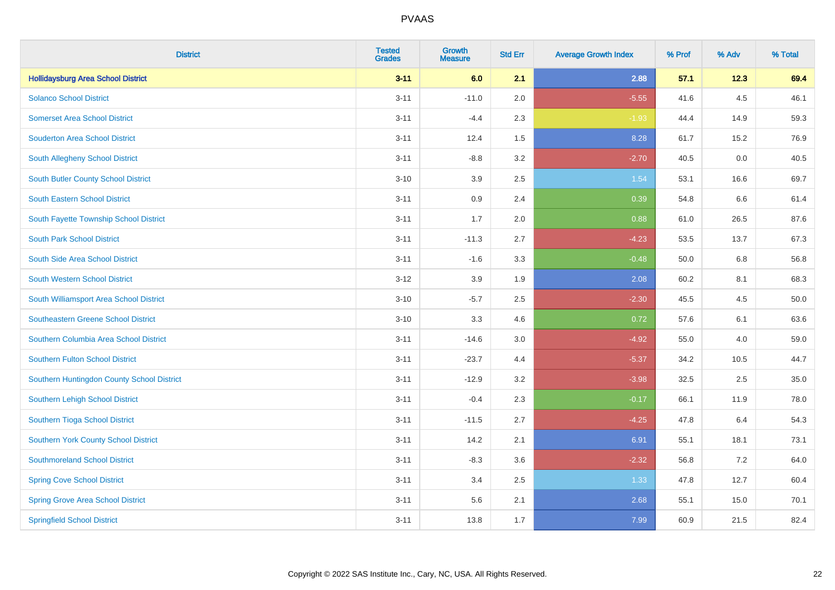| <b>District</b>                            | <b>Tested</b><br><b>Grades</b> | <b>Growth</b><br><b>Measure</b> | <b>Std Err</b> | <b>Average Growth Index</b> | % Prof | % Adv | % Total |
|--------------------------------------------|--------------------------------|---------------------------------|----------------|-----------------------------|--------|-------|---------|
| <b>Hollidaysburg Area School District</b>  | $3 - 11$                       | 6.0                             | 2.1            | 2.88                        | 57.1   | 12.3  | 69.4    |
| <b>Solanco School District</b>             | $3 - 11$                       | $-11.0$                         | 2.0            | $-5.55$                     | 41.6   | 4.5   | 46.1    |
| <b>Somerset Area School District</b>       | $3 - 11$                       | $-4.4$                          | 2.3            | $-1.93$                     | 44.4   | 14.9  | 59.3    |
| <b>Souderton Area School District</b>      | $3 - 11$                       | 12.4                            | 1.5            | 8.28                        | 61.7   | 15.2  | 76.9    |
| South Allegheny School District            | $3 - 11$                       | $-8.8$                          | 3.2            | $-2.70$                     | 40.5   | 0.0   | 40.5    |
| South Butler County School District        | $3 - 10$                       | 3.9                             | 2.5            | 1.54                        | 53.1   | 16.6  | 69.7    |
| <b>South Eastern School District</b>       | $3 - 11$                       | 0.9                             | 2.4            | 0.39                        | 54.8   | 6.6   | 61.4    |
| South Fayette Township School District     | $3 - 11$                       | 1.7                             | 2.0            | 0.88                        | 61.0   | 26.5  | 87.6    |
| <b>South Park School District</b>          | $3 - 11$                       | $-11.3$                         | 2.7            | $-4.23$                     | 53.5   | 13.7  | 67.3    |
| South Side Area School District            | $3 - 11$                       | $-1.6$                          | 3.3            | $-0.48$                     | 50.0   | 6.8   | 56.8    |
| South Western School District              | $3 - 12$                       | 3.9                             | 1.9            | 2.08                        | 60.2   | 8.1   | 68.3    |
| South Williamsport Area School District    | $3 - 10$                       | $-5.7$                          | 2.5            | $-2.30$                     | 45.5   | 4.5   | 50.0    |
| Southeastern Greene School District        | $3 - 10$                       | 3.3                             | 4.6            | 0.72                        | 57.6   | 6.1   | 63.6    |
| Southern Columbia Area School District     | $3 - 11$                       | $-14.6$                         | 3.0            | $-4.92$                     | 55.0   | 4.0   | 59.0    |
| Southern Fulton School District            | $3 - 11$                       | $-23.7$                         | 4.4            | $-5.37$                     | 34.2   | 10.5  | 44.7    |
| Southern Huntingdon County School District | $3 - 11$                       | $-12.9$                         | 3.2            | $-3.98$                     | 32.5   | 2.5   | 35.0    |
| Southern Lehigh School District            | $3 - 11$                       | $-0.4$                          | 2.3            | $-0.17$                     | 66.1   | 11.9  | 78.0    |
| Southern Tioga School District             | $3 - 11$                       | $-11.5$                         | 2.7            | $-4.25$                     | 47.8   | 6.4   | 54.3    |
| Southern York County School District       | $3 - 11$                       | 14.2                            | 2.1            | 6.91                        | 55.1   | 18.1  | 73.1    |
| <b>Southmoreland School District</b>       | $3 - 11$                       | $-8.3$                          | 3.6            | $-2.32$                     | 56.8   | 7.2   | 64.0    |
| <b>Spring Cove School District</b>         | $3 - 11$                       | 3.4                             | 2.5            | 1.33                        | 47.8   | 12.7  | 60.4    |
| <b>Spring Grove Area School District</b>   | $3 - 11$                       | 5.6                             | 2.1            | 2.68                        | 55.1   | 15.0  | 70.1    |
| <b>Springfield School District</b>         | $3 - 11$                       | 13.8                            | 1.7            | 7.99                        | 60.9   | 21.5  | 82.4    |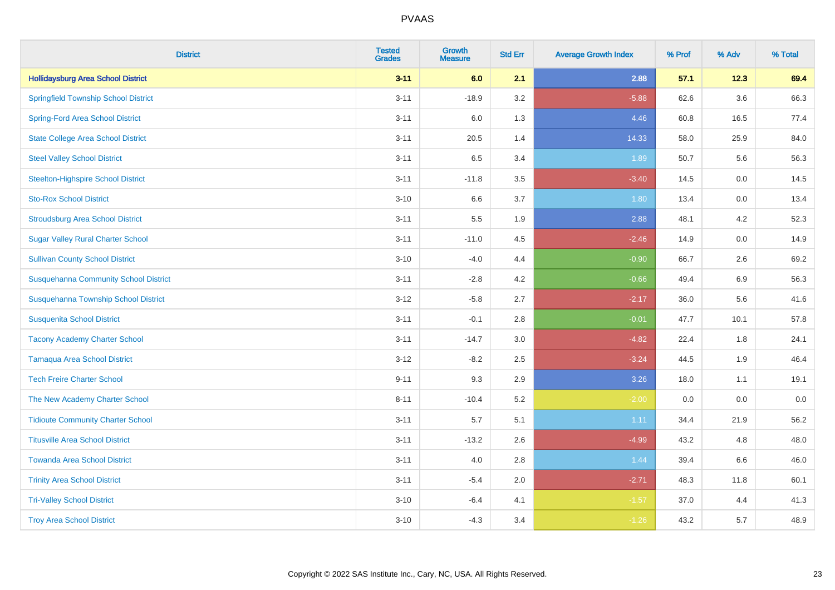| <b>District</b>                              | <b>Tested</b><br><b>Grades</b> | <b>Growth</b><br><b>Measure</b> | <b>Std Err</b> | <b>Average Growth Index</b> | % Prof | % Adv   | % Total |
|----------------------------------------------|--------------------------------|---------------------------------|----------------|-----------------------------|--------|---------|---------|
| <b>Hollidaysburg Area School District</b>    | $3 - 11$                       | 6.0                             | 2.1            | 2.88                        | 57.1   | 12.3    | 69.4    |
| <b>Springfield Township School District</b>  | $3 - 11$                       | $-18.9$                         | 3.2            | $-5.88$                     | 62.6   | $3.6\,$ | 66.3    |
| <b>Spring-Ford Area School District</b>      | $3 - 11$                       | 6.0                             | 1.3            | 4.46                        | 60.8   | 16.5    | 77.4    |
| <b>State College Area School District</b>    | $3 - 11$                       | 20.5                            | 1.4            | 14.33                       | 58.0   | 25.9    | 84.0    |
| <b>Steel Valley School District</b>          | $3 - 11$                       | 6.5                             | 3.4            | 1.89                        | 50.7   | 5.6     | 56.3    |
| <b>Steelton-Highspire School District</b>    | $3 - 11$                       | $-11.8$                         | 3.5            | $-3.40$                     | 14.5   | 0.0     | 14.5    |
| <b>Sto-Rox School District</b>               | $3 - 10$                       | 6.6                             | 3.7            | 1.80                        | 13.4   | 0.0     | 13.4    |
| <b>Stroudsburg Area School District</b>      | $3 - 11$                       | 5.5                             | 1.9            | 2.88                        | 48.1   | 4.2     | 52.3    |
| <b>Sugar Valley Rural Charter School</b>     | $3 - 11$                       | $-11.0$                         | 4.5            | $-2.46$                     | 14.9   | 0.0     | 14.9    |
| <b>Sullivan County School District</b>       | $3 - 10$                       | $-4.0$                          | 4.4            | $-0.90$                     | 66.7   | $2.6\,$ | 69.2    |
| <b>Susquehanna Community School District</b> | $3 - 11$                       | $-2.8$                          | 4.2            | $-0.66$                     | 49.4   | 6.9     | 56.3    |
| Susquehanna Township School District         | $3 - 12$                       | $-5.8$                          | 2.7            | $-2.17$                     | 36.0   | 5.6     | 41.6    |
| <b>Susquenita School District</b>            | $3 - 11$                       | $-0.1$                          | 2.8            | $-0.01$                     | 47.7   | 10.1    | 57.8    |
| <b>Tacony Academy Charter School</b>         | $3 - 11$                       | $-14.7$                         | 3.0            | $-4.82$                     | 22.4   | 1.8     | 24.1    |
| <b>Tamaqua Area School District</b>          | $3 - 12$                       | $-8.2$                          | 2.5            | $-3.24$                     | 44.5   | 1.9     | 46.4    |
| <b>Tech Freire Charter School</b>            | $9 - 11$                       | 9.3                             | 2.9            | 3.26                        | 18.0   | 1.1     | 19.1    |
| The New Academy Charter School               | $8 - 11$                       | $-10.4$                         | 5.2            | $-2.00$                     | 0.0    | 0.0     | $0.0\,$ |
| <b>Tidioute Community Charter School</b>     | $3 - 11$                       | 5.7                             | 5.1            | 1.11                        | 34.4   | 21.9    | 56.2    |
| <b>Titusville Area School District</b>       | $3 - 11$                       | $-13.2$                         | 2.6            | $-4.99$                     | 43.2   | 4.8     | 48.0    |
| <b>Towanda Area School District</b>          | $3 - 11$                       | 4.0                             | 2.8            | 1.44                        | 39.4   | 6.6     | 46.0    |
| <b>Trinity Area School District</b>          | $3 - 11$                       | $-5.4$                          | 2.0            | $-2.71$                     | 48.3   | 11.8    | 60.1    |
| <b>Tri-Valley School District</b>            | $3 - 10$                       | $-6.4$                          | 4.1            | $-1.57$                     | 37.0   | 4.4     | 41.3    |
| <b>Troy Area School District</b>             | $3 - 10$                       | $-4.3$                          | 3.4            | $-1.26$                     | 43.2   | 5.7     | 48.9    |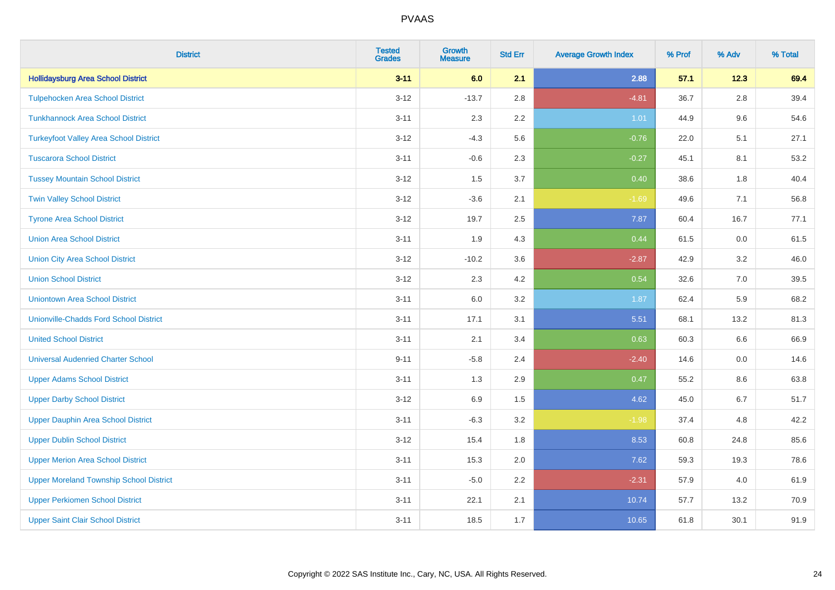| <b>District</b>                                | <b>Tested</b><br><b>Grades</b> | Growth<br><b>Measure</b> | <b>Std Err</b> | <b>Average Growth Index</b> | % Prof | % Adv   | % Total |
|------------------------------------------------|--------------------------------|--------------------------|----------------|-----------------------------|--------|---------|---------|
| <b>Hollidaysburg Area School District</b>      | $3 - 11$                       | 6.0                      | 2.1            | 2.88                        | 57.1   | 12.3    | 69.4    |
| <b>Tulpehocken Area School District</b>        | $3-12$                         | $-13.7$                  | 2.8            | $-4.81$                     | 36.7   | 2.8     | 39.4    |
| <b>Tunkhannock Area School District</b>        | $3 - 11$                       | 2.3                      | $2.2\,$        | 1.01                        | 44.9   | 9.6     | 54.6    |
| <b>Turkeyfoot Valley Area School District</b>  | $3 - 12$                       | $-4.3$                   | 5.6            | $-0.76$                     | 22.0   | 5.1     | 27.1    |
| <b>Tuscarora School District</b>               | $3 - 11$                       | $-0.6$                   | 2.3            | $-0.27$                     | 45.1   | 8.1     | 53.2    |
| <b>Tussey Mountain School District</b>         | $3 - 12$                       | 1.5                      | 3.7            | 0.40                        | 38.6   | 1.8     | 40.4    |
| <b>Twin Valley School District</b>             | $3 - 12$                       | $-3.6$                   | 2.1            | $-1.69$                     | 49.6   | 7.1     | 56.8    |
| <b>Tyrone Area School District</b>             | $3 - 12$                       | 19.7                     | 2.5            | 7.87                        | 60.4   | 16.7    | 77.1    |
| <b>Union Area School District</b>              | $3 - 11$                       | 1.9                      | 4.3            | 0.44                        | 61.5   | 0.0     | 61.5    |
| <b>Union City Area School District</b>         | $3 - 12$                       | $-10.2$                  | 3.6            | $-2.87$                     | 42.9   | 3.2     | 46.0    |
| <b>Union School District</b>                   | $3 - 12$                       | 2.3                      | 4.2            | 0.54                        | 32.6   | 7.0     | 39.5    |
| <b>Uniontown Area School District</b>          | $3 - 11$                       | 6.0                      | 3.2            | 1.87                        | 62.4   | 5.9     | 68.2    |
| <b>Unionville-Chadds Ford School District</b>  | $3 - 11$                       | 17.1                     | 3.1            | 5.51                        | 68.1   | 13.2    | 81.3    |
| <b>United School District</b>                  | $3 - 11$                       | 2.1                      | 3.4            | 0.63                        | 60.3   | 6.6     | 66.9    |
| <b>Universal Audenried Charter School</b>      | $9 - 11$                       | $-5.8$                   | 2.4            | $-2.40$                     | 14.6   | 0.0     | 14.6    |
| <b>Upper Adams School District</b>             | $3 - 11$                       | 1.3                      | 2.9            | 0.47                        | 55.2   | $8.6\,$ | 63.8    |
| <b>Upper Darby School District</b>             | $3 - 12$                       | 6.9                      | 1.5            | 4.62                        | 45.0   | 6.7     | 51.7    |
| <b>Upper Dauphin Area School District</b>      | $3 - 11$                       | $-6.3$                   | 3.2            | $-1.98$                     | 37.4   | 4.8     | 42.2    |
| <b>Upper Dublin School District</b>            | $3 - 12$                       | 15.4                     | 1.8            | 8.53                        | 60.8   | 24.8    | 85.6    |
| <b>Upper Merion Area School District</b>       | $3 - 11$                       | 15.3                     | 2.0            | 7.62                        | 59.3   | 19.3    | 78.6    |
| <b>Upper Moreland Township School District</b> | $3 - 11$                       | $-5.0$                   | 2.2            | $-2.31$                     | 57.9   | 4.0     | 61.9    |
| <b>Upper Perkiomen School District</b>         | $3 - 11$                       | 22.1                     | 2.1            | 10.74                       | 57.7   | 13.2    | 70.9    |
| <b>Upper Saint Clair School District</b>       | $3 - 11$                       | 18.5                     | 1.7            | 10.65                       | 61.8   | 30.1    | 91.9    |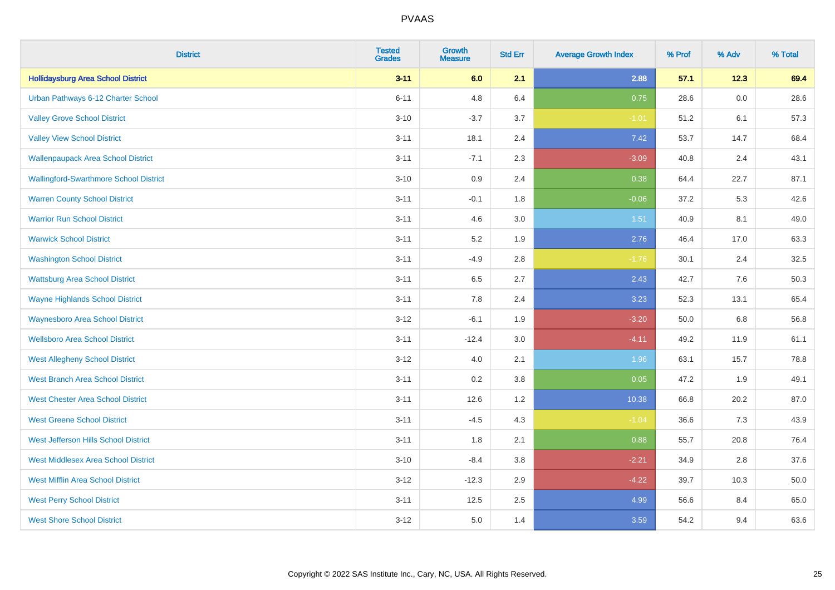| <b>District</b>                               | <b>Tested</b><br><b>Grades</b> | <b>Growth</b><br><b>Measure</b> | <b>Std Err</b> | <b>Average Growth Index</b> | % Prof | % Adv   | % Total |
|-----------------------------------------------|--------------------------------|---------------------------------|----------------|-----------------------------|--------|---------|---------|
| <b>Hollidaysburg Area School District</b>     | $3 - 11$                       | 6.0                             | 2.1            | 2.88                        | 57.1   | 12.3    | 69.4    |
| Urban Pathways 6-12 Charter School            | $6 - 11$                       | 4.8                             | 6.4            | 0.75                        | 28.6   | $0.0\,$ | 28.6    |
| <b>Valley Grove School District</b>           | $3 - 10$                       | $-3.7$                          | 3.7            | $-1.01$                     | 51.2   | 6.1     | 57.3    |
| <b>Valley View School District</b>            | $3 - 11$                       | 18.1                            | 2.4            | 7.42                        | 53.7   | 14.7    | 68.4    |
| <b>Wallenpaupack Area School District</b>     | $3 - 11$                       | $-7.1$                          | 2.3            | $-3.09$                     | 40.8   | 2.4     | 43.1    |
| <b>Wallingford-Swarthmore School District</b> | $3 - 10$                       | 0.9                             | 2.4            | 0.38                        | 64.4   | 22.7    | 87.1    |
| <b>Warren County School District</b>          | $3 - 11$                       | $-0.1$                          | 1.8            | $-0.06$                     | 37.2   | 5.3     | 42.6    |
| <b>Warrior Run School District</b>            | $3 - 11$                       | 4.6                             | 3.0            | 1.51                        | 40.9   | 8.1     | 49.0    |
| <b>Warwick School District</b>                | $3 - 11$                       | 5.2                             | 1.9            | 2.76                        | 46.4   | 17.0    | 63.3    |
| <b>Washington School District</b>             | $3 - 11$                       | $-4.9$                          | $2.8\,$        | $-1.76$                     | 30.1   | 2.4     | 32.5    |
| <b>Wattsburg Area School District</b>         | $3 - 11$                       | 6.5                             | 2.7            | 2.43                        | 42.7   | 7.6     | 50.3    |
| <b>Wayne Highlands School District</b>        | $3 - 11$                       | 7.8                             | 2.4            | 3.23                        | 52.3   | 13.1    | 65.4    |
| <b>Waynesboro Area School District</b>        | $3 - 12$                       | $-6.1$                          | 1.9            | $-3.20$                     | 50.0   | $6.8\,$ | 56.8    |
| <b>Wellsboro Area School District</b>         | $3 - 11$                       | $-12.4$                         | 3.0            | $-4.11$                     | 49.2   | 11.9    | 61.1    |
| <b>West Allegheny School District</b>         | $3 - 12$                       | 4.0                             | 2.1            | 1.96                        | 63.1   | 15.7    | 78.8    |
| <b>West Branch Area School District</b>       | $3 - 11$                       | 0.2                             | 3.8            | 0.05                        | 47.2   | 1.9     | 49.1    |
| <b>West Chester Area School District</b>      | $3 - 11$                       | 12.6                            | 1.2            | 10.38                       | 66.8   | 20.2    | 87.0    |
| <b>West Greene School District</b>            | $3 - 11$                       | $-4.5$                          | 4.3            | $-1.04$                     | 36.6   | 7.3     | 43.9    |
| West Jefferson Hills School District          | $3 - 11$                       | 1.8                             | 2.1            | 0.88                        | 55.7   | 20.8    | 76.4    |
| <b>West Middlesex Area School District</b>    | $3 - 10$                       | $-8.4$                          | 3.8            | $-2.21$                     | 34.9   | 2.8     | 37.6    |
| <b>West Mifflin Area School District</b>      | $3 - 12$                       | $-12.3$                         | 2.9            | $-4.22$                     | 39.7   | 10.3    | 50.0    |
| <b>West Perry School District</b>             | $3 - 11$                       | 12.5                            | 2.5            | 4.99                        | 56.6   | 8.4     | 65.0    |
| <b>West Shore School District</b>             | $3 - 12$                       | 5.0                             | 1.4            | 3.59                        | 54.2   | 9.4     | 63.6    |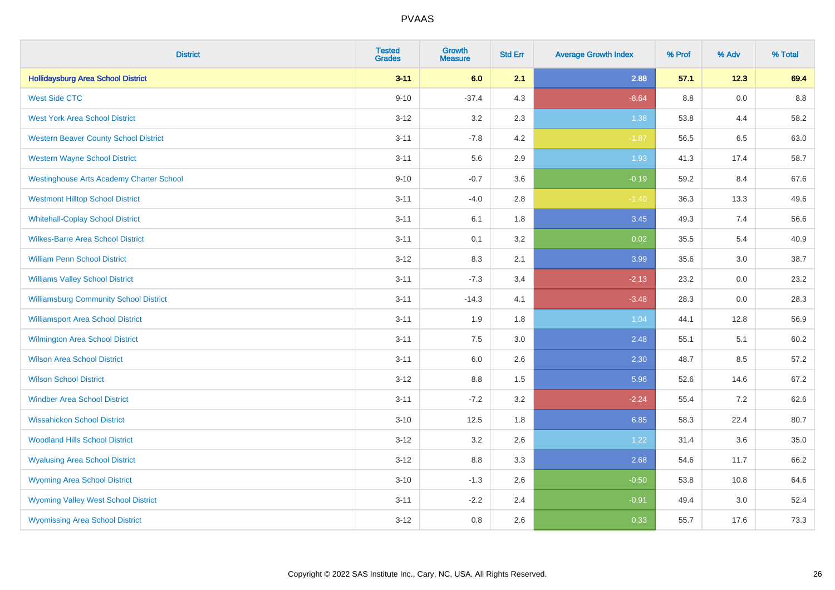| <b>District</b>                                 | <b>Tested</b><br><b>Grades</b> | <b>Growth</b><br><b>Measure</b> | <b>Std Err</b> | <b>Average Growth Index</b> | % Prof | % Adv | % Total |
|-------------------------------------------------|--------------------------------|---------------------------------|----------------|-----------------------------|--------|-------|---------|
| <b>Hollidaysburg Area School District</b>       | $3 - 11$                       | 6.0                             | 2.1            | 2.88                        | 57.1   | 12.3  | 69.4    |
| <b>West Side CTC</b>                            | $9 - 10$                       | $-37.4$                         | 4.3            | $-8.64$                     | 8.8    | 0.0   | 8.8     |
| <b>West York Area School District</b>           | $3 - 12$                       | 3.2                             | 2.3            | 1.38                        | 53.8   | 4.4   | 58.2    |
| <b>Western Beaver County School District</b>    | $3 - 11$                       | $-7.8$                          | 4.2            | $-1.87$                     | 56.5   | 6.5   | 63.0    |
| <b>Western Wayne School District</b>            | $3 - 11$                       | 5.6                             | 2.9            | 1.93                        | 41.3   | 17.4  | 58.7    |
| <b>Westinghouse Arts Academy Charter School</b> | $9 - 10$                       | $-0.7$                          | 3.6            | $-0.19$                     | 59.2   | 8.4   | 67.6    |
| <b>Westmont Hilltop School District</b>         | $3 - 11$                       | $-4.0$                          | 2.8            | $-1.40$                     | 36.3   | 13.3  | 49.6    |
| <b>Whitehall-Coplay School District</b>         | $3 - 11$                       | 6.1                             | 1.8            | 3.45                        | 49.3   | 7.4   | 56.6    |
| <b>Wilkes-Barre Area School District</b>        | $3 - 11$                       | 0.1                             | 3.2            | 0.02                        | 35.5   | 5.4   | 40.9    |
| <b>William Penn School District</b>             | $3 - 12$                       | 8.3                             | 2.1            | 3.99                        | 35.6   | 3.0   | 38.7    |
| <b>Williams Valley School District</b>          | $3 - 11$                       | $-7.3$                          | 3.4            | $-2.13$                     | 23.2   | 0.0   | 23.2    |
| <b>Williamsburg Community School District</b>   | $3 - 11$                       | $-14.3$                         | 4.1            | $-3.48$                     | 28.3   | 0.0   | 28.3    |
| <b>Williamsport Area School District</b>        | $3 - 11$                       | 1.9                             | 1.8            | 1.04                        | 44.1   | 12.8  | 56.9    |
| <b>Wilmington Area School District</b>          | $3 - 11$                       | 7.5                             | 3.0            | 2.48                        | 55.1   | 5.1   | 60.2    |
| <b>Wilson Area School District</b>              | $3 - 11$                       | $6.0\,$                         | 2.6            | 2.30                        | 48.7   | 8.5   | 57.2    |
| <b>Wilson School District</b>                   | $3 - 12$                       | $8.8\,$                         | 1.5            | 5.96                        | 52.6   | 14.6  | 67.2    |
| <b>Windber Area School District</b>             | $3 - 11$                       | $-7.2$                          | 3.2            | $-2.24$                     | 55.4   | 7.2   | 62.6    |
| <b>Wissahickon School District</b>              | $3 - 10$                       | 12.5                            | 1.8            | 6.85                        | 58.3   | 22.4  | 80.7    |
| <b>Woodland Hills School District</b>           | $3 - 12$                       | 3.2                             | 2.6            | 1.22                        | 31.4   | 3.6   | 35.0    |
| <b>Wyalusing Area School District</b>           | $3 - 12$                       | $8.8\,$                         | 3.3            | 2.68                        | 54.6   | 11.7  | 66.2    |
| <b>Wyoming Area School District</b>             | $3 - 10$                       | $-1.3$                          | 2.6            | $-0.50$                     | 53.8   | 10.8  | 64.6    |
| <b>Wyoming Valley West School District</b>      | $3 - 11$                       | $-2.2$                          | 2.4            | $-0.91$                     | 49.4   | 3.0   | 52.4    |
| <b>Wyomissing Area School District</b>          | $3-12$                         | 0.8                             | 2.6            | 0.33                        | 55.7   | 17.6  | 73.3    |